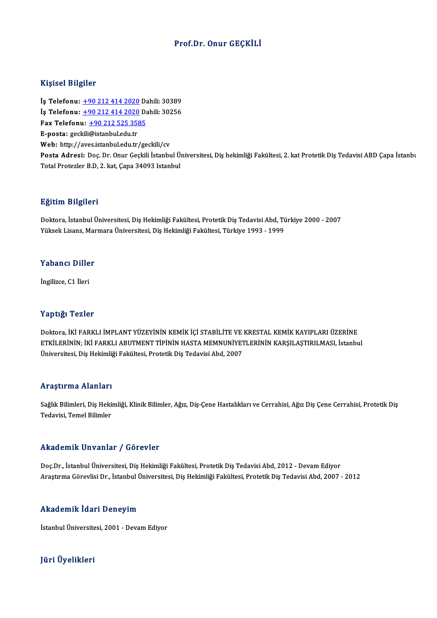### Prof.Dr. Onur GEÇKİLİ

### Kişisel Bilgiler

Kişisel Bilgiler<br>İş Telefonu: <u>+90 212 414 2020</u> Dahili: 30389<br>İs Telefonu: 190 212 414 2020 Dahili: 20256 1191001 D1191101<br>İş Telefonu: <u>+90 212 414 2020</u> Dahili: 30389<br>İş Telefonu: <u>+90 212 414 2020</u> Dahili: 30256<br>For Telefonu: +90 212 525 2595 İş Telefonu: <u>+90 212 414 2020</u> Da<br>İş Telefonu: <u>+90 212 414 2020</u> Da<br>Fax Telefonu: <u>+90 212 525 3585</u><br>F nosta: Geskili@istanbul.edu.tr İş Telefonu: <u>+90 212 414 2020</u> Dahili: 30256<br>Fax Telefonu: <u>+90 212 525 3585</u><br>E-posta: gec[kili](tel:+90 212 414 2020)[@istanbul.edu.tr](tel:+90 212 525 3585) Web: http://aves.istanbul.edu.tr/geckili/cv E-posta: geckili@istanbul.edu.tr<br>Web: http://aves.istanbul.edu.tr/geckili/cv<br>Posta Adresi: Doç. Dr. Onur Geçkili İstanbul Üniversitesi, Diş hekimliği Fakültesi, 2. kat Protetik Diş Tedavisi ABD Çapa İstanbı<br>Tetel Proterler Web: http://aves.istanbul.edu.tr/geckili/cv<br>Posta Adresi: Doç. Dr. Onur Geçkili İstanbul Ü:<br>Total Protezler B.D, 2. kat, Çapa 34093 Istanbul Total Protezler B.D, 2. kat, Çapa 34093 Istanbul<br>Eğitim Bilgileri

**Eğitim Bilgileri**<br>Doktora, İstanbul Üniversitesi, Diş Hekimliği Fakültesi, Protetik Diş Tedavisi Abd, Türkiye 2000 - 2007<br>Yüksek Lisens, Marmara Üniversitesi, Diş Hekimliği Fakültesi, Türkiye 1992, 1999 151 - 1151 - 1151<br>Doktora, İstanbul Üniversitesi, Diş Hekimliği Fakültesi, Protetik Diş Tedavisi Abd, Tü<br>Yüksek Lisans, Marmara Üniversitesi, Diş Hekimliği Fakültesi, Türkiye 1993 - 1999 Yüksek Lisans, Marmara Üniversitesi, Diş Hekimliği Fakültesi, Türkiye 1993 - 1999<br>Yabancı Diller

İngilizce, C1 İleri

### Yaptığı Tezler

Yaptığı Tezler<br>Doktora, İKİ FARKLI İMPLANT YÜZEYİNİN KEMİK İÇİ STABİLİTE VE KRESTAL KEMİK KAYIPLARI ÜZERİNE<br>ETKİLERİNIN, İKİ FARKLI ARUTMENT TİRİNİN HASTA MEMNUNİVETI ERİNİN KARSU ASTIRU MASL İstanbu ETKİLERİNİN; İKİ FARKLI ABUTMENT TİPİNİN HASTA MEMNUNİYETLERİNİN KARŞILAŞTIRILMASI, İstanbul<br>Üniversitesi, Diş Hekimliği Fakültesi, Protetik Diş Tedavisi Abd, 2007 Doktora, İKİ FARKLI İMPLANT YÜZEYİNİN KEMİK İÇİ STABİLİTE VE<br>ETKİLERİNİN; İKİ FARKLI ABUTMENT TİPİNİN HASTA MEMNUNİYET<br>Üniversitesi, Diş Hekimliği Fakültesi, Protetik Diş Tedavisi Abd, 2007

### Araştırma Alanları

**Araştırma Alanları**<br>Sağlık Bilimleri, Diş Hekimliği, Klinik Bilimler, Ağız, Diş-Çene Hastalıkları ve Cerrahisi, Ağız Diş Çene Cerrahisi, Protetik Diş<br>Tedavisi, Tamel Bilimler 111 ayen ma'numatri<br>Sağlık Bilimleri, Diş Heki<br>Tedavisi, Temel Bilimler

# Akademik Unvanlar / Görevler

Doç.Dr., İstanbul Üniversitesi, Diş Hekimliği Fakültesi, Protetik Diş Tedavisi Abd, 2012 - Devam Ediyor AraştırmaGörevlisiDr., İstanbulÜniversitesi,DişHekimliğiFakültesi,ProtetikDişTedavisiAbd,2007 -2012

### Akademik İdari Deneyim

İstanbul Üniversitesi, 2001 - Devam Ediyor

## JüriÜyelikleri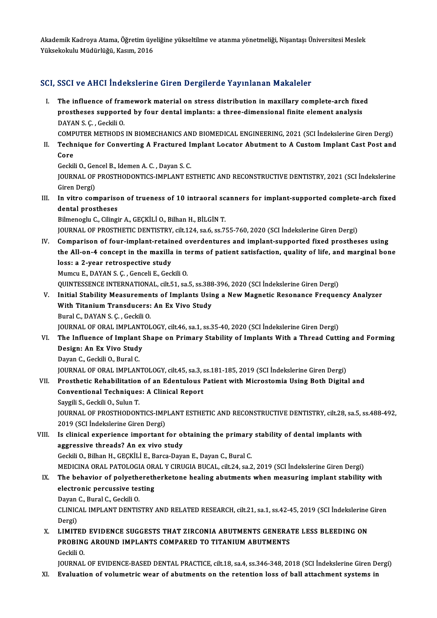Akademik Kadroya Atama, Öğretim üyeliğine yükseltilme ve atanma yönetmeliği, Nişantaşı Üniversitesi Meslek<br>Yüksekalınlu Müdürlüğü, Kasım, 2016 Akademik Kadroya Atama, Öğretim üye<br>Yüksekokulu Müdürlüğü, Kasım, 2016

# Yüksekokulu Müdürlüğü, Kasım, 2016<br>SCI, SSCI ve AHCI İndekslerine Giren Dergilerde Yayınlanan Makaleler

CI, SSCI ve AHCI İndekslerine Giren Dergilerde Yayınlanan Makaleler<br>I. The influence of framework material on stress distribution in maxillary complete-arch fixed<br>I. The influence of framework material implents: a three di prostheses supported by four dental implants: a three-dimensional finite element analysis<br>prostheses supported by four dental implants: a three-dimensional finite element analysis<br>RAVAN S.C. Cockili O The influence of fra<mark><br>prostheses supporte</mark><br>DAYAN S. Ç. , Geckili O.<br>COMBUTER METHODS prostheses supported by four dental implants: a three-dimensional finite element analysis<br>DAYAN S. Ç. , Geckili O.<br>COMPUTER METHODS IN BIOMECHANICS AND BIOMEDICAL ENGINEERING, 2021 (SCI İndekslerine Giren Dergi)

DAYAN S. Ç. , Geckili O.<br>COMPUTER METHODS IN BIOMECHANICS AND BIOMEDICAL ENGINEERING, 2021 (SCI İndekslerine Giren Dergi)<br>II. Technique for Converting A Fractured Implant Locator Abutment to A Custom Implant Cast Post COMP<br>Techn<br>Core Technique for Converting A Fractured I:<br>Core<br>Geckili O., Gencel B., Idemen A. C. , Dayan S. C.<br>JOUPMAL OF PROSTHODONTICS IMPLANT FS

Core<br>Geckili O., Gencel B., Idemen A. C. , Dayan S. C.<br>JOURNAL OF PROSTHODONTICS-IMPLANT ESTHETIC AND RECONSTRUCTIVE DENTISTRY, 2021 (SCI İndekslerine Geckili O., Ger<br>JOURNAL OF<br>Giren Dergi)<br>In vitre com I I. In vitro comparison of trueness of 10 intraoral scanners for implant-supported complete-arch fixed<br>III. In vitro comparison of trueness of 10 intraoral scanners for implant-supported complete-arch fixed<br>dantal presthe

Giren Dergi)<br>In vitro compariso<br>dental prostheses<br>Bilmonoch: C. Gilingi dental prostheses<br>Bilmenoglu C., Cilingir A., GEÇKİLİ O., Bilhan H., BİLGİN T.

JOURNAL OF PROSTHETIC DENTISTRY, cilt.124, sa.6, ss.755-760, 2020 (SCI İndekslerine Giren Dergi)

IV. Comparison of four-implant-retained overdentures and implant-supported fixed prostheses using JOURNAL OF PROSTHETIC DENTISTRY, cilt.124, sa.6, ss.755-760, 2020 (SCI İndekslerine Giren Dergi)<br>Comparison of four-implant-retained overdentures and implant-supported fixed prostheses using<br>the All-on-4 concept in the max Comparison of four-implant-retain<br>the All-on-4 concept in the maxilla<br>loss: a 2-year retrospective study<br>Mumeu E, DAVAN S.C. Conseli E. Cos the All-on-4 concept in the maxilla in to<br>loss: a 2-year retrospective study<br>Mumcu E., DAYAN S. Ç. , Genceli E., Geckili O.<br>QUINTESSENCE INTERNATIONAL si<sup>1</sup>t E1, Sa loss: a 2-year retrospective study<br>Mumcu E., DAYAN S. Ç. , Genceli E., Geckili O.<br>QUINTESSENCE INTERNATIONAL, cilt.51, sa.5, ss.388-396, 2020 (SCI İndekslerine Giren Dergi)<br>Initial Stability Mossurements of Implants Heing

Mumcu E., DAYAN S. Ç. , Genceli E., Geckili O.<br>QUINTESSENCE INTERNATIONAL, cilt.51, sa.5, ss.388-396, 2020 (SCI İndekslerine Giren Dergi)<br>V. Initial Stability Measurements of Implants Using a New Magnetic Resonance Fre QUINTESSENCE INTERNATIONAL, cilt.51, sa.5, ss.388<br>Initial Stability Measurements of Implants Usir<br>With Titanium Transducers: An Ex Vivo Study<br>Pural C. DAYAN S.C. Cockili O BuralC.,DAYANS.Ç. ,GeckiliO.

JOURNALOFORAL IMPLANTOLOGY, cilt.46, sa.1, ss.35-40,2020 (SCI İndekslerineGirenDergi)

VI. The Influence of Implant Shape on Primary Stability of ImplantsWith a Thread Cutting and Forming **JOURNAL OF ORAL IMPLANT<br>The Influence of Implant :<br>Design: An Ex Vivo Study<br>Dovan C. Cookili O. Bural C.** The Influence of Implant<br>Design: An Ex Vivo Study<br>Dayan C., Geckili O., Bural C.<br>JOUPMAL OF OPAL IMPLAN Design: An Ex Vivo Study<br>Dayan C., Geckili O., Bural C.<br>JOURNAL OF ORAL IMPLANTOLOGY, cilt.45, sa.3, ss.181-185, 2019 (SCI İndekslerine Giren Dergi)<br>Presthetis Pehebilitation of an Edentulous Petient with Misrostomia Heing

## Dayan C., Geckili O., Bural C.<br>JOURNAL OF ORAL IMPLANTOLOGY, cilt.45, sa.3, ss.181-185, 2019 (SCI İndekslerine Giren Dergi)<br>VII. Prosthetic Rehabilitation of an Edentulous Patient with Microstomia Using Both Digital and<br>Co JOURNAL OF ORAL IMPLANTOLOGY, cilt.45, sa.3, s<br>Prosthetic Rehabilitation of an Edentulous I<br>Conventional Techniques: A Clinical Report<br>Saugili S. Coakili O. Sulun T Prosthetic Rehabilitation<br>Conventional Techniques<br>Saygili S., Geckili O., Sulun T.<br>JOUPMAL OF PROSTHODON Conventional Techniques: A Clinical Report<br>Saygili S., Geckili O., Sulun T.<br>JOURNAL OF PROSTHODONTICS-IMPLANT ESTHETIC AND RECONSTRUCTIVE DENTISTRY, cilt.28, sa.5, ss.488-492,<br>2019 (SCLIndekslarine Ciren Dergi)

Saygili S., Geckili O., Sulun T.<br>JOURNAL OF PROSTHODONTICS-IMP<br>2019 (SCI İndekslerine Giren Dergi)<br>Is slinisəl experiense important JOURNAL OF PROSTHODONTICS-IMPLANT ESTHETIC AND RECONSTRUCTIVE DENTISTRY, cilt.28, sa.5, s<br>2019 (SCI indekslerine Giren Dergi)<br>VIII. Is clinical experience important for obtaining the primary stability of dental implants wi

## 2019 (SCI İndekslerine Giren Dergi)<br>VIII. Is clinical experience important for obtaining the primary stability of dental implants with<br>aggressive threads? An ex vivo study GeckiliO.,BilhanH.,GEÇKİLİE.,Barca-DayanE.,DayanC.,BuralC.

MEDICINAORAL PATOLOGIAORAL YCIRUGIABUCAL, cilt.24, sa.2,2019 (SCI İndekslerineGirenDergi)

## Geckili O., Bilhan H., GEÇKİLİ E., Barca-Dayan E., Dayan C., Bural C.<br>MEDICINA ORAL PATOLOGIA ORAL Y CIRUGIA BUCAL, cilt.24, sa.2, 2019 (SCI İndekslerine Giren Dergi)<br>IX. The behavior of polyetheretherketone healing abutme MEDICINA ORAL PATOLOGIA OR<br>The behavior of polyethereth<br>electronic percussive testing<br>Davan G. Bural G. Goskili O. The behavior of polyethe<br>electronic percussive tes<br>Dayan C., Bural C., Geckili O.<br>CLINICAL IMPLANT DENTIS

electronic percussive testing<br>Dayan C., Bural C., Geckili O.<br>CLINICAL IMPLANT DENTISTRY AND RELATED RESEARCH, cilt.21, sa.1, ss.42-45, 2019 (SCI İndekslerine Giren Dayan<br>CLINIC<br>Dergi)<br>LIMITI CLINICAL IMPLANT DENTISTRY AND RELATED RESEARCH, cilt.21, sa.1, ss.42-45, 2019 (SCI Indekslerine<br>Dergi)<br>X. LIMITED EVIDENCE SUGGESTS THAT ZIRCONIA ABUTMENTS GENERATE LESS BLEEDING ON

# Dergi)<br>LIMITED EVIDENCE SUGGESTS THAT ZIRCONIA ABUTMENTS GENERA'<br>PROBING AROUND IMPLANTS COMPARED TO TITANIUM ABUTMENTS<br>Ceckiji O LIMITED<br>PROBINO<br>Geckili O.<br>JOUPNAJ

Geckili O.<br>JOURNAL OF EVIDENCE-BASED DENTAL PRACTICE, cilt.18, sa.4, ss.346-348, 2018 (SCI İndekslerine Giren Dergi) XI. Evaluation of volumetric wear of abutments on the retention loss of bal attachment systems in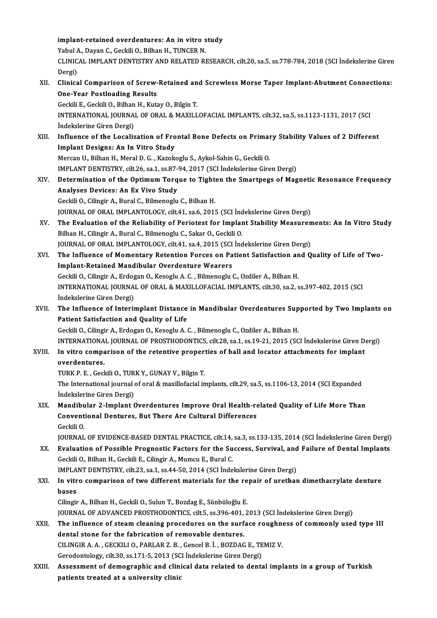|        | implant-retained overdentures: An in vitro study                                                                   |
|--------|--------------------------------------------------------------------------------------------------------------------|
|        | Yabul A., Dayan C., Geckili O., Bilhan H., TUNCER N.                                                               |
|        | CLINICAL IMPLANT DENTISTRY AND RELATED RESEARCH, cilt.20, sa.5, ss.778-784, 2018 (SCI Indekslerine Giren<br>Dergi) |
| XII.   | Clinical Comparison of Screw-Retained and Screwless Morse Taper Implant-Abutment Connections:                      |
|        |                                                                                                                    |
|        | <b>One-Year Postloading Results</b>                                                                                |
|        | Geckili E., Geckili O., Bilhan H., Kutay O., Bilgin T.                                                             |
|        | INTERNATIONAL JOURNAL OF ORAL & MAXILLOFACIAL IMPLANTS, cilt.32, sa.5, ss.1123-1131, 2017 (SCI                     |
|        | İndekslerine Giren Dergi)                                                                                          |
| XIII.  | Influence of the Localization of Frontal Bone Defects on Primary Stability Values of 2 Different                   |
|        | Implant Designs: An In Vitro Study                                                                                 |
|        | Mercan U., Bilhan H., Meral D. G., Kazokoglu S., Aykol-Sahin G., Geckili O.                                        |
|        | IMPLANT DENTISTRY, cilt.26, sa.1, ss.87-94, 2017 (SCI İndekslerine Giren Dergi)                                    |
| XIV.   | Determination of the Optimum Torque to Tighten the Smartpegs of Magnetic Resonance Frequency                       |
|        | Analyses Devices: An Ex Vivo Study                                                                                 |
|        | Geckili O., Cilingir A., Bural C., Bilmenoglu C., Bilhan H.                                                        |
|        | JOURNAL OF ORAL IMPLANTOLOGY, cilt.41, sa.6, 2015 (SCI İndekslerine Giren Dergi)                                   |
| XV.    | The Evaluation of the Reliability of Periotest for Implant Stability Measurements: An In Vitro Study               |
|        | Bilhan H., Cilingir A., Bural C., Bilmenoglu C., Sakar O., Geckili O.                                              |
|        | JOURNAL OF ORAL IMPLANTOLOGY, cilt.41, sa.4, 2015 (SCI Indekslerine Giren Dergi)                                   |
| XVI.   | The Influence of Momentary Retention Forces on Patient Satisfaction and Quality of Life of Two-                    |
|        | <b>Implant-Retained Mandibular Overdenture Wearers</b>                                                             |
|        | Geckili O., Cilingir A., Erdogan O., Kesoglu A. C., Bilmenoglu C., Ozdiler A., Bilhan H.                           |
|        | INTERNATIONAL JOURNAL OF ORAL & MAXILLOFACIAL IMPLANTS, cilt.30, sa.2, ss.397-402, 2015 (SCI                       |
|        | İndekslerine Giren Dergi)                                                                                          |
| XVII.  | The Influence of Interimplant Distance in Mandibular Overdentures Supported by Two Implants on                     |
|        | Patient Satisfaction and Quality of Life                                                                           |
|        | Geckili O., Cilingir A., Erdogan O., Kesoglu A. C., Bilmenoglu C., Ozdiler A., Bilhan H.                           |
|        | INTERNATIONAL JOURNAL OF PROSTHODONTICS, cilt.28, sa.1, ss.19-21, 2015 (SCI Indekslerine Giren Dergi)              |
| XVIII. | In vitro comparison of the retentive properties of ball and locator attachments for implant                        |
|        | overdentures.                                                                                                      |
|        | TURK P. E., Geckili O., TURK Y., GUNAY V., Bilgin T.                                                               |
|        | The International journal of oral & maxillofacial implants, cilt.29, sa.5, ss.1106-13, 2014 (SCI Expanded          |
|        | İndekslerine Giren Dergi)                                                                                          |
| XIX.   | Mandibular 2-Implant Overdentures Improve Oral Health-related Quality of Life More Than                            |
|        | Conventional Dentures, But There Are Cultural Differences                                                          |
|        | Geckili O.                                                                                                         |
|        | JOURNAL OF EVIDENCE-BASED DENTAL PRACTICE, cilt.14, sa.3, ss.133-135, 2014 (SCI Indekslerine Giren Dergi)          |
| XX.    | Evaluation of Possible Prognostic Factors for the Success, Survival, and Failure of Dental Implants                |
|        | Geckili O., Bilhan H., Geckili E., Cilingir A., Mumcu E., Bural C.                                                 |
|        | IMPLANT DENTISTRY, cilt.23, sa.1, ss.44-50, 2014 (SCI Indekslerine Giren Dergi)                                    |
| XXI.   | In vitro comparison of two different materials for the repair of urethan dimethacrylate denture                    |
|        | bases                                                                                                              |
|        | Cilingir A., Bilhan H., Geckili O., Sulun T., Bozdag E., Sünbüloğlu E.                                             |
|        | JOURNAL OF ADVANCED PROSTHODONTICS, cilt.5, ss.396-401, 2013 (SCI İndekslerine Giren Dergi)                        |
| XXII.  | The influence of steam cleaning procedures on the surface roughness of commonly used type III                      |
|        | dental stone for the fabrication of removable dentures.                                                            |
|        | CILINGIR A. A., GECKILI O., PARLAR Z. B., Gencel B. İ., BOZDAG E., TEMIZ V.                                        |
|        | Gerodontology, cilt.30, ss.171-5, 2013 (SCI İndekslerine Giren Dergi)                                              |
| XXIII. | Assessment of demographic and clinical data related to dental implants in a group of Turkish                       |
|        | patients treated at a university clinic                                                                            |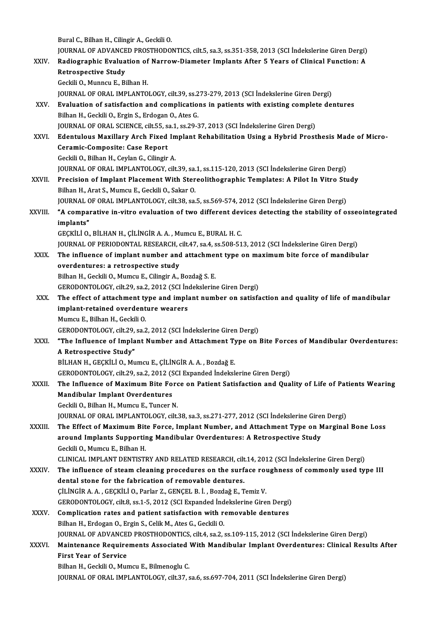Bural C., Bilhan H., Cilingir A., Geckili O.

Bural C., Bilhan H., Cilingir A., Geckili O.<br>JOURNAL OF ADVANCED PROSTHODONTICS, cilt.5, sa.3, ss.351-358, 2013 (SCI İndekslerine Giren Dergi)<br>Padiographia Evaluation of Narrow Diamatar Implanta Aftar E Yoare of Clinical E

Bural C., Bilhan H., Cilingir A., Geckili O.<br>JOURNAL OF ADVANCED PROSTHODONTICS, cilt.5, sa.3, ss.351-358, 2013 (SCI İndekslerine Giren Dergi)<br>XXIV. Radiographic Evaluation of Narrow-Diameter Implants After 5 Years of Clin JOURNAL OF ADVANCE<br>Radiographic Evalua<br>Retrospective Study<br>Ceckij O. Munneu E. Bi Radiographic Evaluation of Narrow-Diameter Implants After 5 Years of Clinical Function: A<br>Retrospective Study<br>Geckili O., Munncu E., Bilhan H. JOURNALOFORAL IMPLANTOLOGY, cilt.39, ss.273-279,2013 (SCI İndekslerineGirenDergi) Geckili O., Munncu E., Bilhan H.<br>JOURNAL OF ORAL IMPLANTOLOGY, cilt.39, ss.273-279, 2013 (SCI Indekslerine Giren Dergi)<br>XXV. Evaluation of satisfaction and complications in patients with existing complete dentures<br>Pilhan H JOURNAL OF ORAL IMPLANTOLOGY, cilt.39, ss.2<br>**Evaluation of satisfaction and complicatio**<br>Bilhan H., Geckili O., Ergin S., Erdogan O., Ates G.<br>JOURNAL OF ORAL SCIENCE, silt 55, so.1, ss.29, 3 Evaluation of satisfaction and complications in patients with existing complet<br>Bilhan H., Geckili O., Ergin S., Erdogan O., Ates G.<br>JOURNAL OF ORAL SCIENCE, cilt.55, sa.1, ss.29-37, 2013 (SCI İndekslerine Giren Dergi)<br>Eden Bilhan H., Geckili O., Ergin S., Erdogan O., Ates G.<br>JOURNAL OF ORAL SCIENCE, cilt.55, sa.1, ss.29-37, 2013 (SCI İndekslerine Giren Dergi)<br>XXVI. Bdentulous Maxillary Arch Fixed Implant Rehabilitation Using a Hybrid Prosthe JOURNAL OF ORAL SCIENCE, cilt.55, s<br>Edentulous Maxillary Arch Fixed<br>Ceramic-Composite: Case Report<br>Ceckili O. Bilban H. Cevlan C. Cilingin Edentulous Maxillary Arch Fixed In<br>Ceramic-Composite: Case Report<br>Geckili O., Bilhan H., Ceylan G., Cilingir A.<br>JOUPNAL OF OPAL JMPLANTOLOCY silt Ceramic-Composite: Case Report<br>Geckili O., Bilhan H., Ceylan G., Cilingir A.<br>JOURNAL OF ORAL IMPLANTOLOGY, cilt.39, sa.1, ss.115-120, 2013 (SCI İndekslerine Giren Dergi) Geckili O., Bilhan H., Ceylan G., Cilingir A.<br>JOURNAL OF ORAL IMPLANTOLOGY, cilt.39, sa.1, ss.115-120, 2013 (SCI İndekslerine Giren Dergi)<br>XXVII. Precision of Implant Placement With Stereolithographic Templates: A Pilot In Bilhan H., Arat S., Mumcu E., Geckili O., Sakar O. Precision of Implant Placement With Stereolithographic Templates: A Pilot In Vitro Stu<br>Bilhan H., Arat S., Mumcu E., Geckili O., Sakar O.<br>JOURNAL OF ORAL IMPLANTOLOGY, cilt.38, sa.5, ss.569-574, 2012 (SCI İndekslerine Gire Bilhan H., Arat S., Mumcu E., Geckili O., Sakar O.<br>JOURNAL OF ORAL IMPLANTOLOGY, cilt.38, sa.5, ss.569-574, 2012 (SCI İndekslerine Giren Dergi)<br>XXVIII. "A comparative in-vitro evaluation of two different devices detecting JOURNAL OF ORAL IMPLANTOLOGY, cilt.38, sa.5, ss.569-574, 2012 (SCI Indekslerine Giren Dergi)<br>"A comparative in-vitro evaluation of two different devices detecting the stability of o<br>implants"<br>GECKILI O., BILHAN H., CILINGI "A comparative in-vitro evaluation of two different dev<br>implants"<br>GEÇKİLİ O., BİLHAN H., ÇİLİNGİR A.A., Mumcu E., BURAL H. C.<br>JOUPNAL OE PERJODONTAL PESEARCH silt 47, 82 4, 82 508 51 implants"<br>GEÇKİLİ O., BİLHAN H., ÇİLİNGİR A. A. , Mumcu E., BURAL H. C.<br>JOURNAL OF PERIODONTAL RESEARCH, cilt.47, sa.4, ss.508-513, 2012 (SCI İndekslerine Giren Dergi)<br>The influence of implant number and attachment tune en GEÇKİLİ O., BİLHAN H., ÇİLİNGİR A. A. , Mumcu E., BURAL H. C.<br>JOURNAL OF PERIODONTAL RESEARCH, cilt.47, sa.4, ss.508-513, 2012 (SCI İndekslerine Giren Dergi)<br>XXIX. The influence of implant number and attachment type on max JOURNAL OF PERIODONTAL RESEARCH, of<br>The influence of implant number and<br>overdentures: a retrospective study<br>Pilhan H. Cockili O. Mumeu E. Cilingir A The influence of implant number and attachment type on maximum bite force of mandibular overdentures: a retrospective study<br>Bilhan H., Geckili O., Mumcu E., Cilingir A., Bozdağ S. E. overdentures: a retrospective study<br>Bilhan H., Geckili O., Mumcu E., Cilingir A., Bozdağ S. E.<br>GERODONTOLOGY, cilt.29, sa.2, 2012 (SCI İndekslerine Giren Dergi)<br>The effect of attachment tune and implant number en satisfs Bilhan H., Geckili O., Mumcu E., Cilingir A., Bozdağ S. E.<br>GERODONTOLOGY, cilt.29, sa.2, 2012 (SCI İndekslerine Giren Dergi)<br>XXX. The effect of attachment type and implant number on satisfaction and quality of life of mand GERODONTOLOGY, cilt.29, sa.2, 2012 (SCI İnd<br>The effect of attachment type and implant-retained overdenture wearers<br>Mumay E. Bilban H. Cockili O The effect of attachment ty<br>implant-retained overdent<br>Mumcu E., Bilhan H., Geckili O.<br>CERODONTOLOCY silt 29, se 3 implant-retained overdenture wearers<br>Mumcu E., Bilhan H., Geckili O.<br>GERODONTOLOGY, cilt.29, sa.2, 2012 (SCI İndekslerine Giren Dergi) Mumcu E., Bilhan H., Geckili O.<br>GERODONTOLOGY, cilt.29, sa.2, 2012 (SCI İndekslerine Giren Dergi)<br>XXXI. "The Influence of Implant Number and Attachment Type on Bite Forces of Mandibular Overdentures:<br>A Betrespective Study" GERODONTOLOGY, cilt.29,<br>"The Influence of Impla<br>A Retrospective Study"<br>PULHAN H. GECKULO, My "The Influence of Implant Number and Attachment Ty<br>A Retrospective Study"<br>BİLHAN H., GEÇKİLİ O., Mumcu E., ÇİLİNGİR A. A. , Bozdağ E.<br>GERODONTOLOCY, silt 29, 82, 2,2012 (SCL Europdad İndelal A Retrospective Study"<br>BİLHAN H., GEÇKİLİ O., Mumcu E., ÇİLİNGİR A. A. , Bozdağ E.<br>GERODONTOLOGY, cilt.29, sa.2, 2012 (SCI Expanded İndekslerine Giren Dergi)<br>The Influence of Movimum Bite Force en Petient Setisfection and BİLHAN H., GEÇKİLİ O., Mumcu E., ÇİLİNGİR A. A. , Bozdağ E.<br>GERODONTOLOGY, cilt.29, sa.2, 2012 (SCI Expanded İndekslerine Giren Dergi)<br>XXXII. The Influence of Maximum Bite Force on Patient Satisfaction and Quality of L GERODONTOLOGY, cilt.29, sa.2, 2012 (S<br>The Influence of Maximum Bite Fo<br>Mandibular Implant Overdentures Geckili O., Bilhan H., Mumcu E., Tuncer N. JOURNAL OF ORAL IMPLANTOLOGY, cilt.38, sa.3, ss.271-277, 2012 (SCI İndekslerine Giren Dergi) XXXIII. The Effect of Maximum Bite Force, Implant Number, and Attachment Type on Marginal Bone Loss JOURNAL OF ORAL IMPLANTOLOGY, cilt.38, sa.3, ss.271-277, 2012 (SCI İndekslerine Giren<br>The Effect of Maximum Bite Force, Implant Number, and Attachment Type on M<br>around Implants Supporting Mandibular Overdentures: A Retrosp The Effect of Maximum Bit<br>around Implants Supportin<br>Geckili O., Mumcu E., Bilhan H.<br>CLINICAL IMPLANT DENTISTI around Implants Supporting Mandibular Overdentures: A Retrospective Study<br>Geckili O., Mumcu E., Bilhan H.<br>CLINICAL IMPLANT DENTISTRY AND RELATED RESEARCH, cilt.14, 2012 (SCI İndekslerine Giren Dergi)<br>The influence of steam Geckili O., Mumcu E., Bilhan H.<br>CLINICAL IMPLANT DENTISTRY AND RELATED RESEARCH, cilt.14, 2012 (SCI İndekslerine Giren Dergi)<br>XXXIV. The influence of steam cleaning procedures on the surface roughness of commonly used type CLINICAL IMPLANT DENTISTRY AND RELATED RESEARCH, cilt<br>The influence of steam cleaning procedures on the surfacental stone for the fabrication of removable dentures.<br>CU iNCIP A A. CECKU LO Perlar 7, CENCEL B. L. Perdağ E. T The influence of steam cleaning procedures on the surface roudental stone for the fabrication of removable dentures.<br>CILINGIR A. A., GECKILI O., Parlar Z., GENCEL B. İ., Bozdağ E., Temiz V.<br>CERODONTOLOCY silt 8, 88,1, E. 2 dental stone for the fabrication of removable dentures.<br>CiliNGiR A. A. , GECKILI O., Parlar Z., GENCEL B. I. , Bozdağ E., Temiz V.<br>GERODONTOLOGY, cilt.8, ss.1-5, 2012 (SCI Expanded Indekslerine Giren Dergi)<br>Complication ra CILINGIR A. A. , GECKILI O., Parlar Z., GENCEL B. I. , Bozdağ E., Temiz V.<br>GERODONTOLOGY, cilt.8, ss.1-5, 2012 (SCI Expanded Indekslerine Giren Dergi)<br>XXXV. Complication rates and patient satisfaction with removable dentur GERODONTOLOGY, cilt.8, ss.1-5, 2012 (SCI Expanded Ind<br>Complication rates and patient satisfaction with re<br>Bilhan H., Erdogan O., Ergin S., Celik M., Ates G., Geckili O.<br>JOUPMAL OF ADVANCED PROSTHODONTICS silt 4, ss.2, 4 Complication rates and patient satisfaction with removable dentures<br>Bilhan H., Erdogan O., Ergin S., Celik M., Ates G., Geckili O.<br>JOURNAL OF ADVANCED PROSTHODONTICS, cilt.4, sa.2, ss.109-115, 2012 (SCI İndekslerine Giren

## Bilhan H., Erdogan O., Ergin S., Celik M., Ates G., Geckili O.<br>JOURNAL OF ADVANCED PROSTHODONTICS, cilt.4, sa.2, ss.109-115, 2012 (SCI İndekslerine Giren Dergi)<br>XXXVI. Maintenance Requirements Associated With Mandibular Im **JOURNAL OF ADVANCE<br>Maintenance Require<br>First Year of Service**<br>Bilban H. Cockili O. Mur Maintenance Requirements Associated<br>First Year of Service<br>Bilhan H., Geckili O., Mumcu E., Bilmenoglu C.<br>JOUPNAL OF OPAL JMPLANTOLOCY sit 27 4

First Year of Service<br>Bilhan H., Geckili O., Mumcu E., Bilmenoglu C.<br>JOURNAL OF ORAL IMPLANTOLOGY, cilt.37, sa.6, ss.697-704, 2011 (SCI İndekslerine Giren Dergi)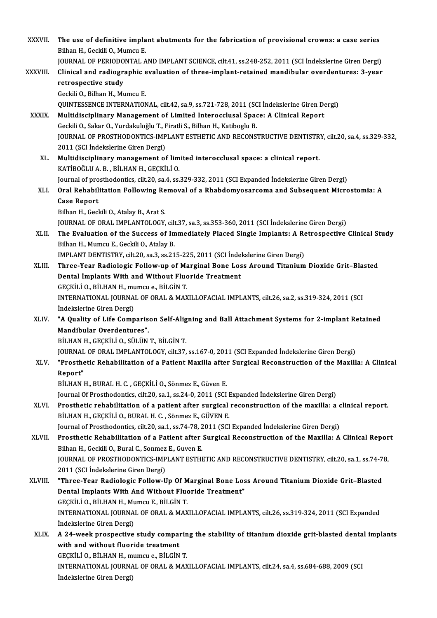| XXXVII.       | The use of definitive implant abutments for the fabrication of provisional crowns: a case series                                                                                                           |
|---------------|------------------------------------------------------------------------------------------------------------------------------------------------------------------------------------------------------------|
|               | Bilhan H., Geckili O., Mumcu E.                                                                                                                                                                            |
|               | JOURNAL OF PERIODONTAL AND IMPLANT SCIENCE, cilt.41, ss.248-252, 2011 (SCI İndekslerine Giren Dergi)                                                                                                       |
| XXXVIII.      | Clinical and radiographic evaluation of three-implant-retained mandibular overdentures: 3-year<br>retrospective study                                                                                      |
|               | Geckili O., Bilhan H., Mumcu E.                                                                                                                                                                            |
|               | QUINTESSENCE INTERNATIONAL, cilt.42, sa.9, ss.721-728, 2011 (SCI İndekslerine Giren Dergi)                                                                                                                 |
| XXXIX.        | Multidisciplinary Management of Limited Interocclusal Space: A Clinical Report                                                                                                                             |
|               | Geckili O., Sakar O., Yurdakuloğlu T., Firatli S., Bilhan H., Katiboglu B.                                                                                                                                 |
|               | JOURNAL OF PROSTHODONTICS-IMPLANT ESTHETIC AND RECONSTRUCTIVE DENTISTRY, cilt.20, sa.4, ss.329-332,<br>2011 (SCI İndekslerine Giren Dergi)                                                                 |
| XL.           | Multidisciplinary management of limited interocclusal space: a clinical report.                                                                                                                            |
|               | KATIBOĞLU A.B., BİLHAN H., GEÇKİLİ O.                                                                                                                                                                      |
|               | Journal of prosthodontics, cilt.20, sa.4, ss.329-332, 2011 (SCI Expanded İndekslerine Giren Dergi)                                                                                                         |
| XLI.          | Oral Rehabilitation Following Removal of a Rhabdomyosarcoma and Subsequent Microstomia: A                                                                                                                  |
|               | <b>Case Report</b>                                                                                                                                                                                         |
|               | Bilhan H., Geckili O., Atalay B., Arat S.                                                                                                                                                                  |
|               | JOURNAL OF ORAL IMPLANTOLOGY, cilt.37, sa.3, ss.353-360, 2011 (SCI Indekslerine Giren Dergi)                                                                                                               |
| XLII.         | The Evaluation of the Success of Immediately Placed Single Implants: A Retrospective Clinical Study<br>Bilhan H., Mumcu E., Geckili O., Atalay B.                                                          |
|               | IMPLANT DENTISTRY, cilt.20, sa.3, ss.215-225, 2011 (SCI İndekslerine Giren Dergi)                                                                                                                          |
| XLIII.        | Three-Year Radiologic Follow-up of Marginal Bone Loss Around Titanium Dioxide Grit-Blasted                                                                                                                 |
|               | Dental Implants With and Without Fluoride Treatment                                                                                                                                                        |
|               | GEÇKİLİ O., BİLHAN H., mumcu e., BİLGİN T.                                                                                                                                                                 |
|               | INTERNATIONAL JOURNAL OF ORAL & MAXILLOFACIAL IMPLANTS, cilt.26, sa.2, ss.319-324, 2011 (SCI                                                                                                               |
|               | İndekslerine Giren Dergi)                                                                                                                                                                                  |
| XLIV.         | "A Quality of Life Comparison Self-Aligning and Ball Attachment Systems for 2-implant Retained                                                                                                             |
|               | Mandibular Overdentures".                                                                                                                                                                                  |
|               | BİLHAN H., GEÇKİLİ O., SÜLÜN T., BİLGİN T.                                                                                                                                                                 |
|               | JOURNAL OF ORAL IMPLANTOLOGY, cilt.37, ss.167-0, 2011 (SCI Expanded Indekslerine Giren Dergi)                                                                                                              |
| XLV.          | "Prosthetic Rehabilitation of a Patient Maxilla after Surgical Reconstruction of the Maxilla: A Clinical                                                                                                   |
|               | Report"                                                                                                                                                                                                    |
|               | BİLHAN H., BURAL H. C., GEÇKİLİ O., Sönmez E., Güven E.                                                                                                                                                    |
| XLVI.         | Journal Of Prosthodontics, cilt.20, sa.1, ss.24-0, 2011 (SCI Expanded Indekslerine Giren Dergi)<br>Prosthetic rehabilitation of a patient after surgical reconstruction of the maxilla: a clinical report. |
|               | BİLHAN H., GEÇKİLİ O., BURAL H. C., Sönmez E., GÜVEN E.                                                                                                                                                    |
|               | Journal of Prosthodontics, cilt.20, sa.1, ss.74-78, 2011 (SCI Expanded Indekslerine Giren Dergi)                                                                                                           |
| XLVII.        | Prosthetic Rehabilitation of a Patient after Surgical Reconstruction of the Maxilla: A Clinical Report                                                                                                     |
|               | Bilhan H., Geckili O., Bural C., Sonmez E., Guven E.                                                                                                                                                       |
|               | JOURNAL OF PROSTHODONTICS-IMPLANT ESTHETIC AND RECONSTRUCTIVE DENTISTRY, cilt.20, sa.1, ss.74-78,                                                                                                          |
|               | 2011 (SCI İndekslerine Giren Dergi)                                                                                                                                                                        |
| <b>XLVIII</b> | "Three-Year Radiologic Follow-Up Of Marginal Bone Loss Around Titanium Dioxide Grit-Blasted                                                                                                                |
|               | Dental Implants With And Without Fluoride Treatment"                                                                                                                                                       |
|               | GEÇKİLİ O., BİLHAN H., Mumcu E., BİLGİN T.                                                                                                                                                                 |
|               | INTERNATIONAL JOURNAL OF ORAL & MAXILLOFACIAL IMPLANTS, cilt.26, ss.319-324, 2011 (SCI Expanded                                                                                                            |
|               | İndekslerine Giren Dergi)                                                                                                                                                                                  |
| XLIX.         | A 24-week prospective study comparing the stability of titanium dioxide grit-blasted dental implants<br>with and without fluoride treatment                                                                |
|               | GEÇKİLİ O., BİLHAN H., mumcu e., BİLGİN T.                                                                                                                                                                 |
|               | INTERNATIONAL JOURNAL OF ORAL & MAXILLOFACIAL IMPLANTS, cilt.24, sa.4, ss.684-688, 2009 (SCI                                                                                                               |
|               | İndekslerine Giren Dergi)                                                                                                                                                                                  |
|               |                                                                                                                                                                                                            |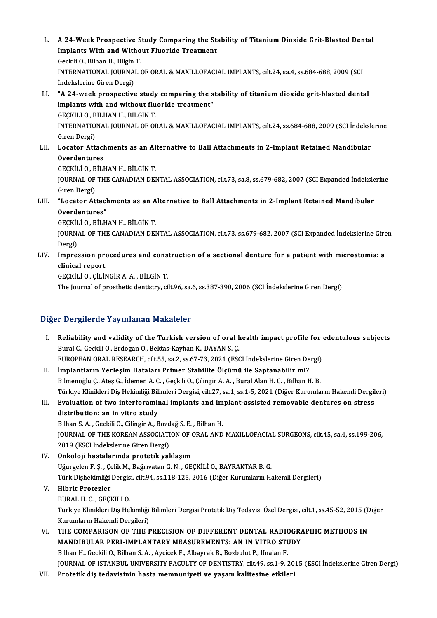L. A 24-Week Prospective Study Comparing the Stability of Titanium Dioxide Grit-Blasted Dental<br>Implants With and Without Eluonide Treatment A 24-Week Prospective Study Comparing the St.<br>Implants With and Without Fluoride Treatment A 24-Week Prospective S<br>Implants With and Witho<br>Geckili O., Bilhan H., Bilgin T.<br>INTERNATIONAL JOURNAL Implants With and Without Fluoride Treatment<br>Geckili O., Bilhan H., Bilgin T.<br>INTERNATIONAL JOURNAL OF ORAL & MAXILLOFACIAL IMPLANTS, cilt.24, sa.4, ss.684-688, 2009 (SCI<br>Indekslerine Giren Dergi) Geckili O., Bilhan H., Bilgin T. INTERNATIONAL JOURNAL OF ORAL & MAXILLOFACIAL IMPLANTS, cilt.24, sa.4, ss.684-688, 2009 (SCI<br>Indekslerine Giren Dergi)<br>LI. "A 24-week prospective study comparing the stability of titanium dioxide grit-blasted dental<br>implan indekslerine Giren Dergi)<br>"A 24-week prospective study comparing the s<br>implants with and without fluoride treatment"<br>CECKULLO PULHAN H PUCINT implants with and without fluoride treatment"<br>GEÇKİLİ O., BİLHAN H., BİLGİN T. implants with and without fluoride treatment"<br>GEÇKİLİ O., BİLHAN H., BİLGİN T.<br>INTERNATIONAL JOURNAL OF ORAL & MAXILLOFACIAL IMPLANTS, cilt.24, ss.684-688, 2009 (SCI İndekslerine<br>Ciron Dergi) GEÇKİLİ O., B<br>INTERNATIO<br>Giren Dergi)<br>Locator Attı INTERNATIONAL JOURNAL OF ORAL & MAXILLOFACIAL IMPLANTS, cilt.24, ss.684-688, 2009 (SCI İndekslaments as an Alternative to Ball Attachments in 2-Implant Retained Mandibular<br>Cuerdentures Giren Dergi)<br>Locator Attacl<br>Overdentures<br>CECVULO PUL Locator Attachments as an Al<br>Overdentures<br>GEÇKİLİ O., BİLHAN H., BİLGİN T.<br>IQUPNAL OE THE CANADIAN DEL Overdentures<br>GEÇKİLİ O., BİLHAN H., BİLGİN T.<br>JOURNAL OF THE CANADIAN DENTAL ASSOCIATION, cilt.73, sa.8, ss.679-682, 2007 (SCI Expanded İndekslerine

GEÇKİLİ O., B<br>JOURNAL OF<br>Giren Dergi)<br>"Locator At JOURNAL OF THE CANADIAN DENTAL ASSOCIATION, cilt.73, sa.8, ss.679-682, 2007 (SCI Expanded İndeksle<br>Giren Dergi)<br>LIII. "Locator Attachments as an Alternative to Ball Attachments in 2-Implant Retained Mandibular<br>Overdenturee

# **Giren Dergi)<br>"Locator Attacl<br>Overdentures"**<br>CECVILLO P<sup>it U</sup> "Locator Attachments as an A<br>Overdentures"<br>GEÇKİLİ O., BİLHAN H., BİLGİN T.<br>JOUPMAL OE THE CANADIAN DEL

Overdentures"<br>GEÇKİLİ O., BİLHAN H., BİLGİN T.<br>JOURNAL OF THE CANADIAN DENTAL ASSOCIATION, cilt.73, ss.679-682, 2007 (SCI Expanded İndekslerine Giren GEÇKİL<br>JOURN<br>Dergi)<br>Impre JOURNAL OF THE CANADIAN DENTAL ASSOCIATION, cilt.73, ss.679-682, 2007 (SCI Expanded Indekslerine Gire<br>Dergi)<br>LIV. Impression procedures and construction of a sectional denture for a patient with microstomia: a<br>clinical rep

# Dergi)<br>Impression pre<br>clinical report<br>cliciti i o citit Impression procedures and cons<br>clinical report<br>GEÇKİLİ O., ÇİLİNGİR A. A. , BİLGİN T.<br>The Journal of prostbatis dentistry, si

clinical report<br>GEÇKİLİ O., ÇİLİNGİR A. A. , BİLGİN T.<br>The Journal of prosthetic dentistry, cilt.96, sa.6, ss.387-390, 2006 (SCI İndekslerine Giren Dergi)

## Diğer Dergilerde Yayınlanan Makaleler

Iger Dergilerde Yayınlanan Makaleler<br>I. Reliability and validity of the Turkish version of oral health impact profile for edentulous subjects<br>Runal G. Ceakili O. Erdegan O. Bektes Kayban K. DAVAN S. G Bural C., Geckili O., Erdogan O., Bektas-Kayhan K., DAYAN S. Ç. Reliability and validity of the Turkish version of oral health impact profile for<br>Bural C., Geckili O., Erdogan O., Bektas-Kayhan K., DAYAN S. Ç.<br>EUROPEAN ORAL RESEARCH, cilt.55, sa.2, ss.67-73, 2021 (ESCI İndekslerine Gir EUROPEAN ORAL RESEARCH, cilt.55, sa.2, ss.67-73, 2021 (ESCI İndekslerine Giren Dergi)

II. İmplantların Yerleşim Hataları Primer Stabilite Ölçümü ile Saptanabilir mi?<br>Bilmenoğlu Ç., Ateş G., İdemen A. C., Geçkili O., Çilingir A. A., Bural Alan H. C., Bilhan H. B. Türkiye Klinikleri Diş Hekimliği Bilimleri Dergisi, cilt.27, sa.1, ss.1-5, 2021 (Diğer Kurumların Hakemli Dergileri) Bilmenoğlu Ç., Ateş G., İdemen A. C. , Geçkili O., Çilingir A. A. , Bural Alan H. C. , Bilhan H. B.<br>Türkiye Klinikleri Diş Hekimliği Bilimleri Dergisi, cilt.27, sa.1, ss.1-5, 2021 (Diğer Kurumların Hakemli Dergil<br>III. Eval

Türkiye Klinikleri Diş Hekimliği Bil<br>Evaluation of two interforamin<br>distribution: an in vitro study<br><sup>Bilban S.A.</sup> Ceskili O. Gilingir A. B Evaluation of two interforaminal implants and im<br>distribution: an in vitro study<br>Bilhan S.A., Geckili O., Cilingir A., Bozdağ S.E., Bilhan H.<br>JOUPMAL OF THE KOREAN ASSOCIATION OF ORAL AND distribution: an in vitro study<br>Bilhan S. A. , Geckili O., Cilingir A., Bozdağ S. E. , Bilhan H.<br>JOURNAL OF THE KOREAN ASSOCIATION OF ORAL AND MAXILLOFACIAL SURGEONS, cilt.45, sa.4, ss.199-206,

2019 (ESCI İndekslerine Giren Dergi)

## IV. Onkoloji hastalarında protetik yaklaşım Uğurgelen F. Ş., Çelik M., Bağrıvatan G. N., GEÇKİLİ O., BAYRAKTAR B. G. Onkoloji hastalarında protetik yaklaşım<br>Uğurgelen F. Ş. , Çelik M., Bağrıvatan G. N. , GEÇKİLİ O., BAYRAKTAR B. G.<br>Türk Dişhekimliği Dergisi, cilt.94, ss.118-125, 2016 (Diğer Kurumların Hakemli Dergileri)<br>Hihrit Brotogler Türk Dişhekimliği Dergis<br><mark>Hibrit Protezler</mark><br>BURAL H. C. , GEÇKİLİ O.<br>Türkiye Klinikleri Diş Hel

## V. Hibrit Protezler

Hibrit Protezler<br>BURAL H. C. , GEÇKİLİ O.<br>Türkiye Klinikleri Diş Hekimliği Bilimleri Dergisi Protetik Diş Tedavisi Özel Dergisi, cilt.1, ss.45-52, 2015 (Diğer BURAL H. C. , GEÇKİLİ O.<br>Türkiye Klinikleri Diş Hekimliği<br>Kurumların Hakemli Dergileri)<br>THE COMPARISON OE THE E Türkiye Klinikleri Diş Hekimliği Bilimleri Dergisi Protetik Diş Tedavisi Özel Dergisi, cilt.1, ss.45-52, 2015 (D<br>Kurumların Hakemli Dergileri)<br>VI. THE COMPARISON OF THE PRECISION OF DIFFERENT DENTAL RADIOGRAPHIC METHOD

Kurumların Hakemli Dergileri)<br>VI. THE COMPARISON OF THE PRECISION OF DIFFERENT DENTAL RADIOGRAPHIC METHODS IN<br>MANDIBULAR PERI-IMPLANTARY MEASUREMENTS: AN IN VITRO STUDY

Bilhan H., Geckili O., Bilhan S. A., Aycicek F., Albayrak B., Bozbulut P., Unalan F. JOURNAL OF ISTANBUL UNIVERSITY FACULTY OF DENTISTRY, cilt.49, ss.1-9, 2015 (ESCI İndekslerine Giren Dergi)

VII. Protetik diş tedavisinin hasta memnuniyeti ve yaşam kalitesine etkileri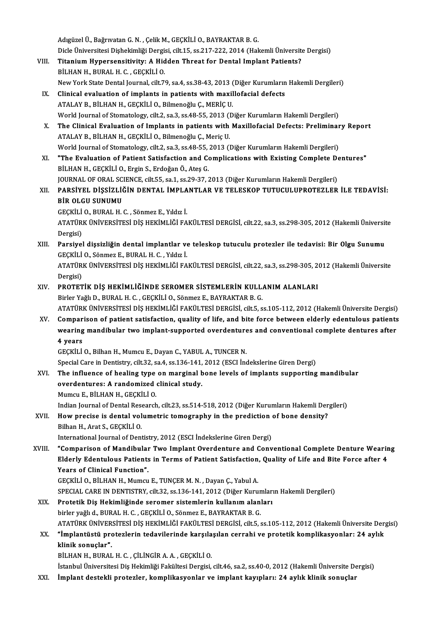AdıgüzelÜ.,BağrıvatanG.N. ,ÇelikM.,GEÇKİLİO.,BAYRAKTARB.G. Adıgüzel Ü., Bağrıvatan G. N. , Çelik M., GEÇKİLİ O., BAYRAKTAR B. G.<br>Dicle Üniversitesi Dişhekimliği Dergisi, cilt.15, ss.217-222, 2014 (Hakemli Üniversite Dergisi)<br>Titanium Hunorsaneitiyity: A. Hiddon Threat for Dantal I

- VIII. Titanium Hypersensitivity: A Hidden Threat for Dental Implant Patients?<br>BİLHAN H., BURAL H. C., GEÇKİLİ O. Dicle Üniversitesi Dişhekimliği Dergi:<br>Titanium Hypersensitivity: A Hid<br>BİLHAN H., BURAL H. C. , GEÇKİLİ O.<br>Nev Yerk State Dental Journal, silt 75 New York State Dental Journal, cilt.79, sa.4, ss.38-43, 2013 (Diğer Kurumların Hakemli Dergileri)
	- IX. Clinical evaluation of implants in patients with maxillofacial defects ATALAY B., BİLHAN H., GEÇKİLİ O., Bilmenoğlu Ç., MERİÇ U. World Journal of Stomatology, cilt.2, sa.3, ss.48-55, 2013 (Diğer Kurumların Hakemli Dergileri) ATALAY B., BİLHAN H., GEÇKİLİ O., Bilmenoğlu Ç., MERİÇ U.<br>World Journal of Stomatology, cilt.2, sa.3, ss.48-55, 2013 (Diğer Kurumların Hakemli Dergileri)<br>X. The Clinical Evaluation of Implants in patients with Maxillofacia
	- ATALAY B., BİLHAN H., GEÇKİLİ O., Bilmenoğlu Ç., Meriç U. The Clinical Evaluation of Implants in patients with Maxillofacial Defects: Preliminar<br>ATALAY B., BİLHAN H., GEÇKİLİ O., Bilmenoğlu Ç., Meriç U.<br>World Journal of Stomatology, cilt.2, sa.3, ss.48-55, 2013 (Diğer Kurumların World Journal of Stomatology, cilt.2, sa.3, ss.48-55, 2013 (Diğer Kurumların Hakemli Dergileri)
	- XI. "The Evaluation of Patient Satisfaction and Complications with Existing Complete Dentures"<br>BİLHAN H., GEÇKİLİ O., Ergin S., Erdoğan Ö., Ateş G. "The Evaluation of Patient Satisfaction and Complications with Existing Complete De<br>BİLHAN H., GEÇKİLİ O., Ergin S., Erdoğan Ö., Ateş G.<br>JOURNAL OF ORAL SCIENCE, cilt.55, sa.1, ss.29-37, 2013 (Diğer Kurumların Hakemli Derg
- XI . PARSİYEL DİŞSİZLİĞİN DENTAL İMPLANTLAR VE TELESKOP TUTUCULUPROTEZLER İLE TEDAVİSİ: JOURNAL OF ORAL SC<br>PARSIYEL DIŞSIZLIĞ<br>BİR OLGU SUNUMU<br>CECKU LO BURAL H PARSİYEL DİŞSİZLİĞİN DENTAL İMPLA<br>BİR OLGU SUNUMU<br>GEÇKİLİ O., BURAL H. C. , Sönmez E., Yıldız İ.<br>ATATÜPK ÜNIVERSİTESI DİS HEKİMI İĞİ EA BİR OLGU SUNUMU<br>GEÇKİLİ O., BURAL H. C. , Sönmez E., Yıldız İ.<br>ATATÜRK ÜNİVERSİTESİ DİŞ HEKİMLİĞİ FAKÜLTESİ DERGİSİ, cilt.22, sa.3, ss.298-305, 2012 (Hakemli Üniversite<br>Dergisi) GEÇKİLİ O., BURAL H. C., Sönmez E., Yıldız İ.

ATATÜRK ÜNİVERSİTESİ DİŞ HEKİMLİĞİ FAKÜLTESİ DERGİSİ, cilt.22, sa.3, ss.298-305, 2012 (Hakemli Üniversit<br>Dergisi)<br>XIII. Parsiyel dişsizliğin dental implantlar ve teleskop tutuculu protezler ile tedavisi: Bir Olgu Sunumu<br>CE

Dergisi)<br>Parsiyel dişsizliğin dental implantlar ve<br>GEÇKİLİ O., Sönmez E., BURAL H. C. , Yıldız İ.<br>ATATÜRK ÜNİVERSİTESİ DİS HERLIMI İĞİ FA Parsiyel dişsizliğin dental implantlar ve teleskop tutuculu protezler ile tedavisi: Bir Olgu Sunumu<br>GEÇKİLİ O., Sönmez E., BURAL H. C. , Yıldız İ.<br>ATATÜRK ÜNİVERSİTESİ DİŞ HEKİMLİĞİ FAKÜLTESİ DERGİSİ, cilt.22, sa.3, ss.298 GEÇKİLİ O., Sönmez E., BURAL H. C. , Yıldız İ.<br>ATATÜRK ÜNİVERSİTESİ DİŞ HEKİMLİĞİ FAKÜLTESİ DERGİSİ, cilt.22, sa.3, ss.298-305, 2012 (Hakemli Üniversite<br>Dergisi) ATATÜRK ÜNİVERSİTESİ DİŞ HEKİMLİĞİ FAKÜLTESİ DERGİSİ, cilt.22, sa.3, ss.298-305, 20<br>Dergisi)<br>XIV. PROTETİK DİŞ HEKİMLİĞİNDE SEROMER SİSTEMLERİN KULLANIM ALANLARI<br>Pirlor Yağlı Deripal H. G. GECKİLLO, Sönmaz E. PAYPAKTAR P.

## Dergisi)<br><mark>PROTETİK DİŞ HEKİMLİĞİNDE SEROMER SİSTEMLERİN KULL.</mark><br>Birler Yağlı D., BURAL H. C. , GEÇKİLİ O., Sönmez E., BAYRAKTAR B. G.<br>ATATÜRK ÜNİVERSİTESİ DİŞ HEKİMLİĞI FAKÜLTESI DERÇISI. silt E. s PROTETİK DİŞ HEKİMLİĞİNDE SEROMER SİSTEMLERİN KULLANIM ALANLARI<br>Birler Yağlı D., BURAL H. C. , GEÇKİLİ O., Sönmez E., BAYRAKTAR B. G.<br>ATATÜRK ÜNIVERSİTESİ DİŞ HEKİMLİĞİ FAKÜLTESİ DERGİSİ, cilt.5, ss.105-112, 2012 (Hakemli Birler Yağlı D., BURAL H. C. , GEÇKİLİ O., Sönmez E., BAYRAKTAR B. G.<br>ATATÜRK ÜNIVERSITESI DIŞ HEKIMLIĞI FAKÜLTESI DERGISI, cilt.5, ss.105-112, 2012 (Hakemli Üniversite Dergisi)<br>XV. Comparison of patient satisfaction, qual

ATATÜRK ÜNİVERSİTESİ DİŞ HEKİMLİĞİ FAKÜLTESİ DERGİSİ, cilt.5, ss.105-112, 2012 (Hakemli Üniversite Dergisi)<br>Comparison of patient satisfaction, quality of life, and bite force between elderly edentulous patients<br>wearing ma XV. Comparison of patient satisfaction, quality of life, and bite force between elderly edentulous patients<br>wearing mandibular two implant-supported overdentures and conventional complete dentures after<br>4 years

GEÇKİLİO.,BilhanH.,MumcuE.,DayanC.,YABULA.,TUNCERN.

Special Care in Dentistry, cilt.32, sa.4, ss.136-141, 2012 (ESCI İndekslerine Giren Dergi)

GEÇKİLİ O., Bilhan H., Mumcu E., Dayan C., YABUL A., TUNCER N.<br>Special Care in Dentistry, cilt.32, sa.4, ss.136-141, 2012 (ESCI İndekslerine Giren Dergi)<br>XVI. The influence of healing type on marginal bone levels of implan Special Care in Dentistry, cilt.32, sa.4, ss.136-141,<br>The influence of healing type on marginal b<br>overdentures: A randomized clinical study.<br>Mumau E, Bit HAN H, CECKU LO. The influence of healing type<br>overdentures: A randomized<br>Mumcu E., BİLHAN H., GEÇKİLİ O.<br>Indian Journal of Dantal Bessarsk overdentures: A randomized clinical study.<br>Mumcu E., BİLHAN H., GEÇKİLİ O.<br>Indian Journal of Dental Research, cilt.23, ss.514-518, 2012 (Diğer Kurumların Hakemli Dergileri)<br>How presise is dental volumetris temesranhy in th

Mumcu E., BİLHAN H., GEÇKİLİ 0.<br>Indian Journal of Dental Research, cilt.23, ss.514-518, 2012 (Diğer Kurumların Hakemli Der<br>XVII. How precise is dental volumetric tomography in the prediction of bone density?<br>Bilban H. Indian Journal of Dental Rese<br>How precise is dental vol<br>Bilhan H., Arat S., GEÇKİLİ O.<br>International Journal of Dent How precise is dental volumetric tomography in the prediction of bone density?<br>Bilhan H., Arat S., GEÇKİLİ O.<br>International Journal of Dentistry, 2012 (ESCI İndekslerine Giren Dergi)

- Bilhan H., Arat S., GEÇKİLİ O.<br>International Journal of Dentistry, 2012 (ESCI İndekslerine Giren Dergi)<br>XVIII. "Comparison of Mandibular Two Implant Overdenture and Conventional Complete Denture Wearing<br>Riderly Edentuleus International Journal of Dentistry, 2012 (ESCI İndekslerine Giren Dergi)<br>"Comparison of Mandibular Two Implant Overdenture and Conventional Complete Denture Wearir<br>Elderly Edentulous Patients in Terms of Patient Satisfacti Years of Clinical Function".<br>GECKILI O., BILHAN H., Mumcu E., TUNCER M. N., Dayan C., Yabul A. Elderly Edentulous Patients in Terms of Patient Satisfaction, Quality of Life and Bite Force after 4 Years of Clinical Function".<br>GEÇKİLİ O., BİLHAN H., Mumcu E., TUNÇER M. N. , Dayan Ç., Yabul A.<br>SPECIAL CARE IN DENTISTRY, cilt.32, ss.136-141, 2012 (Diğer Kurumların Hakemli Dergileri)<br>Pretetik Dis Hekimliğinde seremer si
	-

- XIX. Protetik Diş Hekimliğinde seromer sistemlerin kullanım alanları<br>birler vağlı d. BURAL H. C. GECKİLİ O. Sönmez E. BAYRAKTAR B. G. SPECIAL CARE IN DENTISTRY, cilt.32, ss.136-141, 2012 (Diğer Kurun<br>Protetik Diş Hekimliğinde seromer sistemlerin kullanım alanl<br>birler yağlı d., BURAL H. C. , GEÇKİLİ O., Sönmez E., BAYRAKTAR B. G.<br>ATATÜDE ÜNIVERSİTESI DİŞ Protetik Diş Hekimliğinde seromer sistemlerin kullanım alanları<br>birler yağlı d., BURAL H. C. , GEÇKİLİ O., Sönmez E., BAYRAKTAR B. G.<br>ATATÜRK ÜNİVERSİTESİ DİŞ HEKİMLİĞİ FAKÜLTESİ DERGİSİ, cilt.5, ss.105-112, 2012 (Hakemli birler yağlı d., BURAL H. C. , GEÇKİLİ O., Sönmez E., BAYRAKTAR B. G.<br>ATATÜRK ÜNİVERSİTESİ DİŞ HEKİMLİĞİ FAKÜLTESİ DERGİSİ, cilt.5, ss.105-112, 2012 (Hakemli Üniversite Der<br>Ilinik sonuslar."
- ATATÜRK ÜNİVER<br>**"İmplantüstü proxist**<br>klinik sonuçlar".<br>P<sup>il HAN H. PUPAL</sup> "İmplantüstü protezlerin tedavilerinde karşılaşılan cerrahi ve protetik komplikasyonlar: 24 aylık<br>klinik sonuçlar".<br>BİLHAN H., BURAL H. C. , ÇİLİNGİR A. A. , GEÇKİLİ O.

İstanbul Üniversitesi Diş Hekimliği Fakültesi Dergisi, cilt.46, sa.2, ss.40-0, 2012 (Hakemli Üniversite Dergisi)

XXI. İmplant destekli protezler, komplikasyonlar ve implant kayıpları: 24 aylık klinik sonuçlar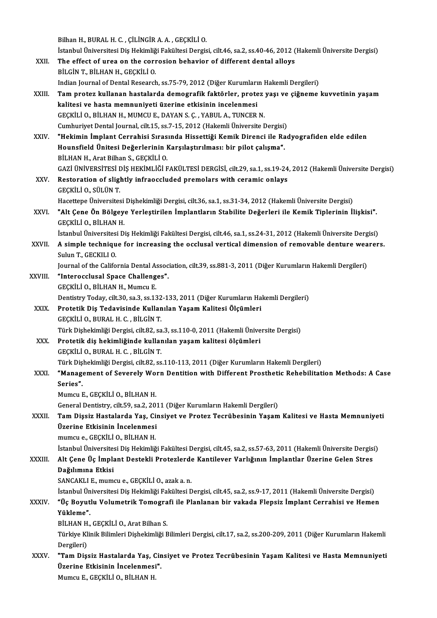Bilhan H., BURAL H. C., ÇİLİNGİR A. A., GEÇKİLİ O.

Bilhan H., BURAL H. C. , ÇİLİNGİR A. A. , GEÇKİLİ O.<br>İstanbul Üniversitesi Diş Hekimliği Fakültesi Dergisi, cilt.46, sa.2, ss.40-46, 2012 (Hakemli Üniversite Dergisi)<br>The effest of ures on the servesion behavior of differe Bilhan H., BURAL H. C. , ÇİLİNGİR A. A. , GEÇKİLİ O.<br>İstanbul Üniversitesi Diş Hekimliği Fakültesi Dergisi, cilt.46, sa.2, ss.40-46, 2012 (<br>XXII. The effect of urea on the corrosion behavior of different dental alloys<br> İstanbul Üniversitesi Diş Hekimliğ<br>The effect of urea on the corr<br>BİLGİN T., BİLHAN H., GEÇKİLİ O.<br>Indian Jeurnal of Dantal Bessansk The effect of urea on the corrosion behavior of different dental alloys<br>BİLGİN T., BİLHAN H., GEÇKİLİ O.<br>Indian Journal of Dental Research, ss.75-79, 2012 (Diğer Kurumların Hakemli Dergileri)<br>Tam protoz kullanan bastalarda BİLGİN T., BİLHAN H., GEÇKİLİ O.<br>Indian Journal of Dental Research, ss.75-79, 2012 (Diğer Kurumların Hakemli Dergileri)<br>XXIII. Tam protez kullanan hastalarda demografik faktörler, protez yaşı ve çiğneme kuvvetinin yaşa

- Indian Journal of Dental Research, ss.75-79, 2012 (Diğer Kurumları<br>Tam protez kullanan hastalarda demografik faktörler, prote<br>kalitesi ve hasta memnuniyeti üzerine etkisinin incelenmesi<br>CECKU LO PU HAN H-MIMCU E DAYAN S-C-Tam protez kullanan hastalarda demografik faktörler, protez<br>kalitesi ve hasta memnuniyeti üzerine etkisinin incelenmesi<br>GEÇKİLİ O., BİLHAN H., MUMCU E., DAYAN S. Ç. , YABUL A., TUNCER N.<br>Cumburiyet Dental Journal, silt 15, kalitesi ve hasta memnuniyeti üzerine etkisinin incelenmesi<br>GEÇKİLİ O., BİLHAN H., MUMCU E., DAYAN S. Ç. , YABUL A., TUNCER N.<br>Cumhurivet Dental Journal, cilt.15, ss.7-15, 2012 (Hakemli Üniversite Dergisi) GEÇKİLİ O., BİLHAN H., MUMCU E., DAYAN S. Ç. , YABUL A., TUNCER N.<br>Cumhuriyet Dental Journal, cilt.15, ss.7-15, 2012 (Hakemli Üniversite Dergisi)<br>XXIV. "Hekimin İmplant Cerrahisi Sırasında Hissettiği Kemik Direnci ile
- Cumhuriyet Dental Journal, cilt.15, ss.7-15, 2012 (Hakemli Üniversite Dergisi)<br>"Hekimin İmplant Cerrahisi Sırasında Hissettiği Kemik Direnci ile Ra<br>Hounsfield Ünitesi Değerlerinin Karşılaştırılması: bir pilot çalışma".<br>Pil "Hekimin İmplant Cerrahisi Sıras<br>Hounsfield Ünitesi Değerlerinin I<br>BİLHAN H., Arat Bilhan S., GEÇKİLİ O.<br>CAZİ ÜNİVERSİTESİ DİS HEYİMI İĞİ E Hounsfield Ünitesi Değerlerinin Karşılaştırılması: bir pilot çalışma".<br>BİLHAN H., Arat Bilhan S., GEÇKİLİ O.<br>GAZİ ÜNİVERSİTESİ DİŞ HEKİMLİĞİ FAKÜLTESİ DERGİSİ, cilt.29, sa.1, ss.19-24, 2012 (Hakemli Üniversite Dergisi)
- BİLHAN H., Arat Bilhan S., GEÇKİLİ O.<br>GAZİ ÜNİVERSİTESİ DİŞ HEKİMLİĞİ FAKÜLTESİ DERGİSİ, cilt.29, sa.1, ss.19-24<br>XXV. Restoration of slightly infraoccluded premolars with ceramic onlays<br>CECKİLLO SÜLÜN T GAZİ ÜNİVERSİTESİ I<br>Restoration of sligl<br>GEÇKİLİ O., SÜLÜN T.<br>Hacettare Üniversites GEÇKİLİ O., SÜLÜN T.<br>Hacettepe Üniversitesi Dişhekimliği Dergisi, cilt.36, sa.1, ss.31-34, 2012 (Hakemli Üniversite Dergisi) GEÇKİLİ O., SÜLÜN T.<br>Hacettepe Üniversitesi Dişhekimliği Dergisi, cilt.36, sa.1, ss.31-34, 2012 (Hakemli Üniversite Dergisi)<br>XXVI. "Alt Çene Ön Bölgeye Yerleştirilen İmplantların Stabilite Değerleri ile Kemik Tiplerini
- Hacettepe Üniversitesi<br>**"Alt Çene Ön Bölgey**<br>GEÇKİLİ O., BİLHAN H.<br>İstanbul Üniversitesi D. "Alt Çene Ön Bölgeye Yerleştirilen İmplantların Stabilite Değerleri ile Kemik Tiplerinin İlişkisi".<br>GEÇKİLİ O., BİLHAN H.<br>İstanbul Üniversitesi Diş Hekimliği Fakültesi Dergisi, cilt.46, sa.1, ss.24-31, 2012 (Hakemli Üniver

GEÇKİLİ O., BİLHAN H.<br>İstanbul Üniversitesi Diş Hekimliği Fakültesi Dergisi, cilt.46, sa.1, ss.24-31, 2012 (Hakemli Üniversite Dergisi)<br>XXVII. A simple technique for increasing the occlusal vertical dimension of remova İstanbul Üniversitesi Diş Hekimliği Fakültesi Dergisi, cilt.46, sa.1, ss.24-31, 2012 (Hakemli Üniversite Dergisi)<br>A simple technique for increasing the occlusal vertical dimension of removable denture wearer<br>Sulun T., GECK A simple technique for increasing the occlusal vertical dimension of removable denture wea<br>Sulun T., GECKILI 0.<br>Journal of the California Dental Association, cilt.39, ss.881-3, 2011 (Diğer Kurumların Hakemli Dergileri)<br>"In

Journal of the California Dental Association, cilt.39, ss.881-3, 2011 (Diğer Kurumların Hakemli Dergileri)

XXVIII. "Interocclusal Space Challenges".<br>GECKILI O., BILHAN H., Mumcu E.

"Interocclusal Space Challenges".<br>GEÇKİLİ O., BİLHAN H., Mumcu E.<br>Dentistry Today, cilt.30, sa.3, ss.132-133, 2011 (Diğer Kurumların Hakemli Dergileri)<br>Protetik Dis Todayisinde Kullanılan Yasam Kalitesi Ölsümleri

- GEÇKİLİ O., BİLHAN H., Mumcu E.<br>Dentistry Today, cilt.30, sa.3, ss.132-133, 2011 (Diğer Kurumların Ha<br>XXIX. Protetik Diş Tedavisinde Kullanılan Yaşam Kalitesi Ölçümleri<br>CECKİLİ O. BURAL H.C., BİLCİN T Dentistry Today, cilt.30, sa.3, ss.132<br>Protetik Diş Tedavisinde Kullan<br>GEÇKİLİ O., BURAL H. C. , BİLGİN T.<br>Türk Dishekimliği Dergisi, cilt 82, sa Protetik Diş Tedavisinde Kullanılan Yaşam Kalitesi Ölçümleri<br>GEÇKİLİ O., BURAL H. C. , BİLGİN T.<br>Türk Dişhekimliği Dergisi, cilt.82, sa.3, ss.110-0, 2011 (Hakemli Üniversite Dergisi) GEÇKİLİ O., BURAL H. C. , BİLGİN T.<br>Türk Dişhekimliği Dergisi, cilt.82, sa.3, ss.110-0, 2011 (Hakemli Ünive<br>XXX. Protetik diş hekimliğinde kullanılan yaşam kalitesi ölçümleri<br>CECKİLİ O. BURAL H. C. BİLGİN T.
- Türk Dişhekimliği Dergisi, cilt.82, sa<br>Protetik diş hekimliğinde kullar<br>GEÇKİLİ O., BURAL H. C. , BİLGİN T.<br>Türk Dishekimliği Dergisi, silt.82, sa GEÇKİLİ O., BURAL H. C. , BİLGİN T.<br>Türk Dishekimliği Dergisi, cilt.82, ss.110-113, 2011 (Diğer Kurumların Hakemli Dergileri)
- GEÇKİLİ O., BURAL H. C. , BİLGİN T.<br>Türk Dişhekimliği Dergisi, cilt.82, ss.110-113, 2011 (Diğer Kurumların Hakemli Dergileri)<br>XXXI. "Management of Severely Worn Dentition with Different Prosthetic Rehebilitation Methods: A Türk Di<mark>ş</mark><br>**"Manag**<br>Series**". "Management of Severely Wo:<br>Series".<br>Mumcu E., GEÇKİLİ O., BİLHAN H.**<br>Ceneral Dentistru, silt 50, sə 3, 30. Series".<br>Mumcu E., GEÇKİLİ O., BİLHAN H.<br>General Dentistry, cilt.59, sa.2, 2011 (Diğer Kurumların Hakemli Dergileri)<br>Tam Dissir Hastalarda Yas, Ginsiyat ve Pratar Tesrübesinin Yasam

# Mumcu E., GEÇKİLİ O., BİLHAN H.<br>General Dentistry, cilt.59, sa.2, 2011 (Diğer Kurumların Hakemli Dergileri)<br>XXXII. Tam Dişsiz Hastalarda Yaş, Cinsiyet ve Protez Tecrübesinin Yaşam Kalitesi ve Hasta Memnuniyeti<br>Üzerine General Dentistry, cilt.59, sa.2, 2013<br>Tam Dişsiz Hastalarda Yaş, Ci<br>Üzerine Etkisinin İncelenmesi<br>mumcu e, CECKİLİ O, PİLHAN H

mumcu e., GEÇKİLİ O., BİLHAN H.

İstanbul Üniversitesi Diş Hekimliği Fakültesi Dergisi, cilt.45, sa.2, ss.57-63, 2011 (Hakemli Üniversite Dergisi)

## mumcu e., GEÇKİLİ O., BİLHAN H.<br>İstanbul Üniversitesi Diş Hekimliği Fakültesi Dergisi, cilt.45, sa.2, ss.57-63, 2011 (Hakemli Üniversite Dergis<br>XXXIII. Alt Çene Üç İmplant Destekli Protezlerde Kantilever Varlığının İmp Dağılımına Etkisi<br>SANCAKLI E., mumcu e., GECKİLİ O., azak a. n. Alt Çene Üç İmplant Destekli Protezlerde<br>Dağılımına Etkisi<br>SANCAKLI E., mumcu e., GEÇKİLİ O., azak a. n.<br>İstanbul Üniversitesi Dis Hekimliği Fekültesi D <mark>Dağılımına Etkisi</mark><br>SANCAKLI E., mumcu e., GEÇKİLİ O., azak a. n.<br>İstanbul Üniversitesi Diş Hekimliği Fakültesi Dergisi, cilt.45, sa.2, ss.9-17, 2011 (Hakemli Üniversite Dergisi)<br>"Üe Beyutlu Velumetrik Temegrefi ile Planla

SANCAKLI E., mumcu e., GEÇKİLİ O., azak a. n.<br>İstanbul Üniversitesi Diş Hekimliği Fakültesi Dergisi, cilt.45, sa.2, ss.9-17, 2011 (Hakemli Üniversite Dergisi)<br>XXXIV. "Üç Boyutlu Volumetrik Tomografi ile Planlanan bir v İstanbul Ün<br>**"Üç Boyut**<br>Yükleme".<br>P<sup>it HAN H</sub></sup> **"Üç Boyutlu Volumetrik Tomogra<br>Yükleme".**<br>BİLHAN H., GEÇKİLİ O., Arat Bilhan S.<br>Türkiye Klinik Bilimleri Dishekimliği B

Yükleme".<br>BİLHAN H., GEÇKİLİ O., Arat Bilhan S.<br>Türkiye Klinik Bilimleri Dişhekimliği Bilimleri Dergisi, cilt.17, sa.2, ss.200-209, 2011 (Diğer Kurumların Hakemli BİLHAN H<br>Türkiye Kl<br>Dergileri)<br>"Tam Disc Türkiye Klinik Bilimleri Dişhekimliği Bilimleri Dergisi, cilt.17, sa.2, ss.200-209, 2011 (Diğer Kurumların Hakemli<br>Dergileri)<br>XXXV. "Tam Dişsiz Hastalarda Yaş, Cinsiyet ve Protez Tecrübesinin Yaşam Kalitesi ve Hasta Memnun

Dergileri)<br>"Tam Dişsiz Hastalarda Yaş, Cir<br>Üzerine Etkisinin İncelenmesi".<br>Mumau E. CECKİLİO, PİLHAN H "Tam Dişsiz Hastalarda Yaş, C<br>Üzerine Etkisinin İncelenmesi<br>Mumcu E., GEÇKİLİ O., BİLHAN H.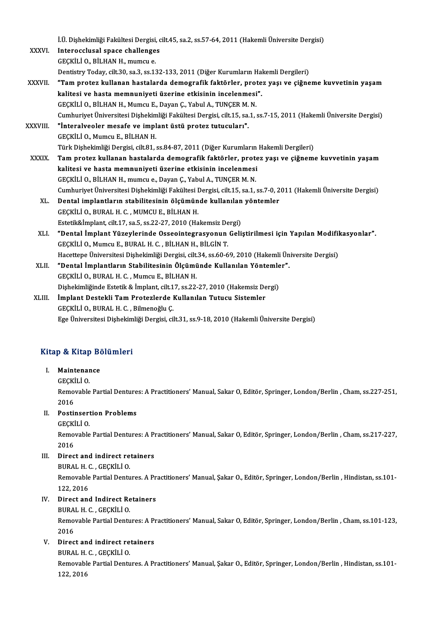|              | İ.Ü. Dişhekimliği Fakültesi Dergisi, cilt.45, sa.2, ss.57-64, 2011 (Hakemli Üniversite Dergisi)                   |
|--------------|-------------------------------------------------------------------------------------------------------------------|
| XXXVI.       | Interocclusal space challenges                                                                                    |
|              | GECKILI O., BILHAN H., mumcu e.                                                                                   |
|              | Dentistry Today, cilt.30, sa.3, ss.132-133, 2011 (Diğer Kurumların Hakemli Dergileri)                             |
| XXXVII.      | "Tam protez kullanan hastalarda demografik faktörler, protez yaşı ve çiğneme kuvvetinin yaşam                     |
|              | kalitesi ve hasta memnuniyeti üzerine etkisinin incelenmesi".                                                     |
|              | GEÇKİLİ O., BİLHAN H., Mumcu E., Dayan Ç., Yabul A., TUNÇER M. N.                                                 |
|              | Cumhuriyet Üniversitesi Dişhekimliği Fakültesi Dergisi, cilt.15, sa.1, ss.7-15, 2011 (Hakemli Üniversite Dergisi) |
| XXXVIII.     | "İnteralveoler mesafe ve implant üstü protez tutucuları".                                                         |
|              | GECKİLİ O., Mumcu E., BİLHAN H.                                                                                   |
|              | Türk Dişhekimliği Dergisi, cilt.81, ss.84-87, 2011 (Diğer Kurumların Hakemli Dergileri)                           |
| <b>XXXIX</b> | Tam protez kullanan hastalarda demografik faktörler, protez yaşı ve çiğneme kuvvetinin yaşam                      |
|              | kalitesi ve hasta memnuniyeti üzerine etkisinin incelenmesi                                                       |
|              | GEÇKİLİ O., BİLHAN H., mumcu e., Dayan Ç., Yabul A., TUNÇER M. N.                                                 |
|              | Cumhuriyet Üniversitesi Dişhekimliği Fakültesi Dergisi, cilt.15, sa.1, ss.7-0, 2011 (Hakemli Üniversite Dergisi)  |
| XL.          | Dental implantların stabilitesinin ölçümünde kullanılan yöntemler                                                 |
|              | GEÇKİLİ O., BURAL H. C., MUMCU E., BİLHAN H.                                                                      |
|              | Estetik&İmplant, cilt.17, sa.5, ss.22-27, 2010 (Hakemsiz Dergi)                                                   |
| XLI.         | "Dental İmplant Yüzeylerinde Osseointegrasyonun Geliştirilmesi için Yapılan Modifikasyonlar".                     |
|              | GECKİLİ O., Mumcu E., BURAL H. C., BİLHAN H., BİLGİN T.                                                           |
|              | Hacettepe Üniversitesi Dişhekimliği Dergisi, cilt.34, ss.60-69, 2010 (Hakemli Üniversite Dergisi)                 |
| XLII.        | "Dental İmplantların Stabilitesinin Ölçümünde Kullanılan Yöntemler".                                              |
|              | GEÇKİLİ O., BURAL H. C., Mumcu E., BİLHAN H.                                                                      |
|              | Dişhekimliğinde Estetik & İmplant, cilt 17, ss.22-27, 2010 (Hakemsiz Dergi)                                       |
| XLIII.       | İmplant Destekli Tam Protezlerde Kullanılan Tutucu Sistemler                                                      |
|              | GECKİLİ O., BURAL H. C., Bilmenoğlu C.                                                                            |
|              | Ege Üniversitesi Dişhekimliği Dergisi, cilt.31, ss.9-18, 2010 (Hakemli Üniversite Dergisi)                        |
|              |                                                                                                                   |

# ege oniversitesi bişnekim<br>Kitap & Kitap Bölümleri itap & Kitap Be<br>I. Maintenance<br>CECKILLO

I. Maintenance<br>GEÇKİLİ O.

Maintenance<br>GEÇKİLİ O.<br>Removable Partial Dentures: A Practitioners' Manual, Sakar O, Editör, Springer, London/Berlin , Cham, ss.227-251, GEÇKİ<br>Remo<br>2016<br>Posti: Removable Partial Denture<br>2016<br>II. Postinsertion Problems<br>CECKULO 2016<br>Postinsert<br>GEÇKİLİ O.<br>Pemevable

GECKILI O

Removable Partial Dentures: A Practitioners' Manual, Sakar O, Editör, Springer, London/Berlin, Cham, ss.217-227,<br>2016 Removable Partial Dentures: A P<br>2016<br>III. Direct and indirect retainers<br>PIIPAL H G GECKULO 2016<br>Direct and indirect re<br>BURAL H. C. , GEÇKİLİ O.<br>Bomovable Pertial Dentu

Direct and indirect retainers<br>BURAL H. C. , GEÇKİLİ O.<br>Removable Partial Dentures. A Practitioners' Manual, Şakar O., Editör, Springer, London/Berlin , Hindistan, ss.101-BURAL H. (<br>Removable<br>122, 2016<br>Dinast and Removable Partial Dentures. A Pr<br>122, 2016<br>IV. Direct and Indirect Retainers<br>PUPAL H.C. CECVILLO 122, 2016<br>Direct and Indirect Re<br>BURAL H. C. , GEÇKİLİ O.<br>Bomevable Pertial Dentu

BURAL H. C., GEÇKİLİ O.

Removable Partial Dentures: A Practitioners' Manual, Sakar O, Editör, Springer, London/Berlin, Cham, ss.101-123,<br>2016 Removable Partial Dentures: A P<br>2016<br>V. Direct and indirect retainers<br>PUPAL H G GECKULO 2016<br>Direct and indirect re<br>BURAL H. C. , GEÇKİLİ O.<br>Bemevable Bertial Dentu

BURAL H. C., GECKILI O.

Removable Partial Dentures. A Practitioners' Manual, Şakar O., Editör, Springer, London/Berlin, Hindistan, ss.101-<br>122, 2016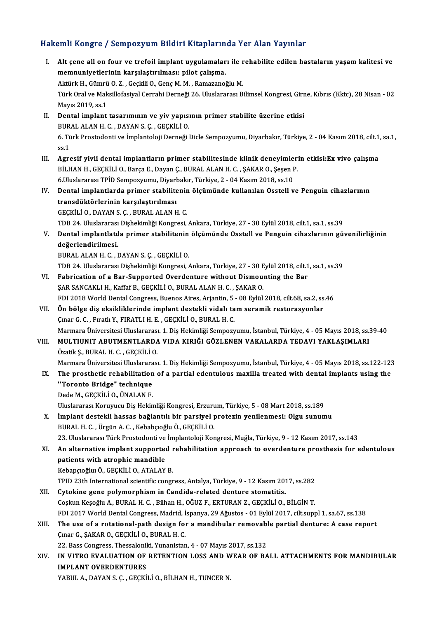# Hakemli Kongre / Sempozyum Bildiri Kitaplarında Yer Alan Yayınlar<br>Hakemli Kongre / Sempozyum Bildiri Kitaplarında Yer Alan Yayınlar

| Hakemli Kongre / Sempozyum Bildiri Kitaplarında Yer Alan Yayınlar |                                                                                                                                                                                                                                  |  |
|-------------------------------------------------------------------|----------------------------------------------------------------------------------------------------------------------------------------------------------------------------------------------------------------------------------|--|
| L.                                                                | Alt çene all on four ve trefoil implant uygulamaları ile rehabilite edilen hastaların yaşam kalitesi ve<br>memnuniyetlerinin karşılaştırılması: pilot çalışma.<br>Aktürk H., Gümrü O. Z., Geçkili O., Genç M. M., Ramazanoğlu M. |  |
|                                                                   | Türk Oral ve Maksillofasiyal Cerrahi Derneği 26. Uluslararası Bilimsel Kongresi, Girne, Kıbrıs (Kktc), 28 Nisan - 02<br>Mayıs 2019, ss 1                                                                                         |  |
| П.                                                                | Dental implant tasarımının ve yiv yapısının primer stabilite üzerine etkisi<br>BURAL ALAN H. C., DAYAN S. Ç., GEÇKİLİ O.                                                                                                         |  |
|                                                                   | 6. Türk Prostodonti ve İmplantoloji Derneği Dicle Sempozyumu, Diyarbakır, Türkiye, 2 - 04 Kasım 2018, cilt.1, sa.1,<br>ss <sub>1</sub>                                                                                           |  |
| III.                                                              | Agresif yivli dental implantların primer stabilitesinde klinik deneyimlerin etkisi: Ex vivo çalışma<br>BİLHAN H., GEÇKİLİ O., Barça E., Dayan Ç., BURAL ALAN H. C., ŞAKAR O., Şeşen P.                                           |  |
|                                                                   | 6. Uluslararası TPİD Sempozyumu, Diyarbakır, Türkiye, 2 - 04 Kasım 2018, ss.10                                                                                                                                                   |  |
| IV.                                                               | Dental implantlarda primer stabilitenin ölçümünde kullanılan Osstell ve Penguin cihazlarının                                                                                                                                     |  |
|                                                                   | transdüktörlerinin karşılaştırılması                                                                                                                                                                                             |  |
|                                                                   | GEÇKİLİ O, DAYAN S Ç , BURAL ALAN H C.                                                                                                                                                                                           |  |
|                                                                   | TDB 24. Uluslararası Dişhekimliği Kongresi, Ankara, Türkiye, 27 - 30 Eylül 2018, cilt.1, sa.1, ss.39                                                                                                                             |  |
| V.                                                                | Dental implantlatda primer stabilitenin ölçümünde Osstell ve Penguin cihazlarının güvenilirliğinin                                                                                                                               |  |
|                                                                   | değerlendirilmesi.                                                                                                                                                                                                               |  |
|                                                                   | BURAL ALAN H. C., DAYAN S. Ç., GEÇKİLİ O.                                                                                                                                                                                        |  |
|                                                                   | TDB 24. Uluslararası Dişhekimliği Kongresi, Ankara, Türkiye, 27 - 30 Eylül 2018, cilt.1, sa.1, ss.39                                                                                                                             |  |
| VI.                                                               | Fabrication of a Bar-Supported Overdenture without Dismounting the Bar                                                                                                                                                           |  |
|                                                                   | ŞAR SANCAKLI H., Kaffaf B., GEÇKİLİ O., BURAL ALAN H. C., ŞAKAR O.                                                                                                                                                               |  |
|                                                                   | FDI 2018 World Dental Congress, Buenos Aires, Arjantin, 5 - 08 Eylül 2018, cilt.68, sa.2, ss.46                                                                                                                                  |  |
| VII.                                                              | Ön bölge diş eksikliklerinde implant destekli vidalı tam seramik restorasyonlar                                                                                                                                                  |  |
|                                                                   | Çınar G. C., Fıratlı Y., FIRATLI H. E., GEÇKİLİ O., BURAL H. C.<br>Marmara Üniversitesi Uluslararası. 1. Diş Hekimliği Sempozyumu, İstanbul, Türkiye, 4 - 05 Mayıs 2018, ss.39-40                                                |  |
| VIII.                                                             | MULTIUNIT ABUTMENTLARDA VIDA KIRIĞI GÖZLENEN VAKALARDA TEDAVI YAKLAŞIMLARI                                                                                                                                                       |  |
|                                                                   | Özatik Ş., BURAL H. C., GEÇKİLİ O.                                                                                                                                                                                               |  |
|                                                                   | Marmara Üniversitesi Uluslararası. 1. Diş Hekimliği Sempozyumu, İstanbul, Türkiye, 4 - 05 Mayıs 2018, ss.122-123                                                                                                                 |  |
| IX.                                                               | The prosthetic rehabilitation of a partial edentulous maxilla treated with dental implants using the                                                                                                                             |  |
|                                                                   | "Toronto Bridge" technique                                                                                                                                                                                                       |  |
|                                                                   | Dede M., GEÇKİLİ O., ÜNALAN F.                                                                                                                                                                                                   |  |
|                                                                   | Uluslararası Koruyucu Diş Hekimliği Kongresi, Erzurum, Türkiye, 5 - 08 Mart 2018, ss.189                                                                                                                                         |  |
| X.                                                                | İmplant destekli hassas bağlantılı bir parsiyel protezin yenilenmesi: Olgu sunumu                                                                                                                                                |  |
|                                                                   | BURAL H. C., Ürgün A. C., Kebabçıoğlu Ö., GEÇKİLİ O.                                                                                                                                                                             |  |
|                                                                   | 23. Uluslararası Türk Prostodonti ve İmplantoloji Kongresi, Muğla, Türkiye, 9 - 12 Kasım 2017, ss. 143                                                                                                                           |  |
| XI.                                                               | An alternative implant supported rehabilitation approach to overdenture prosthesis for edentulous                                                                                                                                |  |
|                                                                   | patients with atrophic mandible                                                                                                                                                                                                  |  |
|                                                                   | Kebapçıoğluı Ö., GEÇKİLİ O., ATALAY B.                                                                                                                                                                                           |  |
|                                                                   | TPID 23th International scientific congress, Antalya, Türkiye, 9 - 12 Kasım 2017, ss.282                                                                                                                                         |  |
| XII.                                                              | Cytokine gene polymorphism in Candida-related denture stomatitis.<br>Coşkun Keşoğlu A., BURAL H. C., Bilhan H., OĞUZ F., ERTURAN Z., GEÇKİLİ O., BİLGİN T.                                                                       |  |
|                                                                   | FDI 2017 World Dental Congress, Madrid, İspanya, 29 Ağustos - 01 Eylül 2017, cilt.suppl 1, sa.67, ss.138                                                                                                                         |  |
| XIII.                                                             | The use of a rotational-path design for a mandibular removable partial denture: A case report                                                                                                                                    |  |
|                                                                   | Çınar G., ŞAKAR O., GEÇKİLİ O., BURAL H. C.                                                                                                                                                                                      |  |
|                                                                   | 22. Bass Congress, Thessaloniki, Yunanistan, 4 - 07 Mayıs 2017, ss.132                                                                                                                                                           |  |
| XIV.                                                              | IN VITRO EVALUATION OF RETENTION LOSS AND WEAR OF BALL ATTACHMENTS FOR MANDIBULAR                                                                                                                                                |  |
|                                                                   | <b>IMPLANT OVERDENTURES</b>                                                                                                                                                                                                      |  |
|                                                                   | YABUL A., DAYAN S. Ç., GEÇKİLİ O., BİLHAN H., TUNCER N.                                                                                                                                                                          |  |
|                                                                   |                                                                                                                                                                                                                                  |  |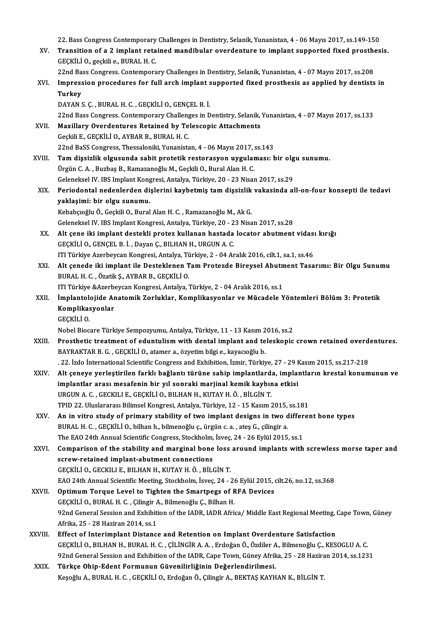22. Bass Congress Contemporary Challenges in Dentistry, Selanik, Yunanistan, 4 - 06 Mayıs 2017, ss.149-150

22. Bass Congress Contemporary Challenges in Dentistry, Selanik, Yunanistan, 4 - 06 Mayıs 2017, ss.149-150<br>XV. Transition of a 2 implant retained mandibular overdenture to implant supported fixed prosthesis.<br>CECKU LO, 22. Bass Congress Contemporary<br>Transition of a 2 implant reta<br>GEÇKİLİ O., geçkili e., BURAL H. C.<br>22nd Bass Congress Contempora Transition of a 2 implant retained mandibular overdenture to implant supported fixed prosthe<br>GEÇKİLİ O., geçkili e., BURAL H. C.<br>22nd Bass Congress. Contemporary Challenges in Dentistry, Selanik, Yunanistan, 4 - 07 Mayıs 2

|         | GEÇKİLİ O., geçkili e., BURAL H. C.                                                                          |
|---------|--------------------------------------------------------------------------------------------------------------|
|         | 22nd Bass Congress. Contemporary Challenges in Dentistry, Selanik, Yunanistan, 4 - 07 Mayıs 2017, ss.208     |
| XVI.    | Impression procedures for full arch implant supported fixed prosthesis as applied by dentists in             |
|         | <b>Turkey</b>                                                                                                |
|         | DAYAN S. Ç., BURAL H. C., GEÇKİLİ O., GENÇEL B. İ.                                                           |
|         | 22nd Bass Congress. Contemporary Challenges in Dentistry, Selanik, Yunanistan, 4 - 07 Mayıs 2017, ss.133     |
| XVII.   | Maxillary Overdentures Retained by Telescopic Attachments                                                    |
|         | Geckili E., GECKİLİ O., AYBAR B., BURAL H. C.                                                                |
|         | 22nd BaSS Congress, Thessaloniki, Yunanistan, 4 - 06 Mayıs 2017, ss.143                                      |
| XVIII.  | Tam dişsizlik olgusunda sabit protetik restorasyon uygulaması: bir olgu sunumu.                              |
|         | Ürgün C. A., Buzbaş B., Ramazanoğlu M., Geçkili O., Bural Alan H. C.                                         |
|         | Geleneksel IV. IBS Implant Kongresi, Antalya, Türkiye, 20 - 23 Nisan 2017, ss.29                             |
| XIX.    | Periodontal nedenlerden dişlerini kaybetmiş tam dişsizlik vakasında all-on-four konsepti ile tedavi          |
|         | yaklaşimi: bir olgu sunumu.                                                                                  |
|         | Kebabçıoğlu Ö., Geçkili O., Bural Alan H. C., Ramazanoğlu M., Ak G.                                          |
|         | Geleneksel IV. IBS Implant Kongresi, Antalya, Türkiye, 20 - 23 Nisan 2017, ss.28                             |
| XX.     | Alt çene iki implant destekli protez kullanan hastada locator abutment vidası kırığı                         |
|         | GEÇKİLİ O., GENÇEL B. İ., Dayan Ç., BILHAN H., URGUN A. C.                                                   |
|         | ITI Türkiye Azerbeycan Kongresi, Antalya, Türkiye, 2 - 04 Aralık 2016, cilt.1, sa.1, ss.46                   |
| XXI.    | Alt çenede iki implant ile Desteklenen Tam Protezde Bireysel Abutment Tasarımı: Bir Olgu Sunumu              |
|         | BURAL H. C., Özatik Ş., AYBAR B., GEÇKİLİ O.                                                                 |
|         | ITI Türkiye & Azerbeycan Kongresi, Antalya, Türkiye, 2 - 04 Aralık 2016, ss.1                                |
| XXII.   | İmplantolojide Anatomik Zorluklar, Komplikasyonlar ve Mücadele Yöntemleri Bölüm 3: Protetik                  |
|         | Komplikasyonlar<br>GEÇKİLİ O.                                                                                |
|         | Nobel Biocare Türkiye Sempozyumu, Antalya, Türkiye, 11 - 13 Kasım 2016, ss.2                                 |
| XXIII.  | Prosthetic treatment of eduntulism with dental implant and teleskopic crown retained overdentures.           |
|         | BAYRAKTAR B. G., GEÇKİLİ O., atamer a., özyetim bilgi e., kayacıoğlu b.                                      |
|         | . 22. İzdo İnternational Scientific Congress and Exhibition, İzmir, Türkiye, 27 - 29 Kasım 2015, ss.217-218  |
| XXIV.   | Alt çeneye yerleştirilen farklı bağlantı türüne sahip implantlarda, implantların krestal konumunun ve        |
|         | implantlar arası mesafenin bir yıl sonraki marjinal kemik kaybına etkisi                                     |
|         | URGUN A. C., GECKILI E., GEÇKİLİ O., BILHAN H., KUTAY H. Ö., BİLGİN T.                                       |
|         | TPID 22. Uluslararası Bilimsel Kongresi, Antalya, Türkiye, 12 - 15 Kasım 2015, ss.181                        |
| XXV.    | An in vitro study of primary stability of two implant designs in two different bone types                    |
|         | BURAL H. C., GEÇKİLİ O., bilhan h., bilmenoğlu ç., ürgün c. a., ateş G., çilingir a.                         |
|         | The EAO 24th Annual Scientific Congress, Stockholm, İsveç, 24 - 26 Eylül 2015, ss.1                          |
| XXVI.   | Comparison of the stability and marginal bone loss around implants with screwless morse taper and            |
|         | screw-retained implant-abutment connections                                                                  |
|         | GEÇKİLİ O., GECKILI E., BILHAN H., KUTAY H. Ö., BİLGİN T.                                                    |
|         | EAO 24th Annual Scientific Meeting, Stockholm, İsveç, 24 - 26 Eylül 2015, cilt.26, no.12, ss.368             |
| XXVII.  | Optimum Torque Level to Tighten the Smartpegs of RFA Devices                                                 |
|         | GEÇKİLİ O., BURAL H. C., Çilingir A., Bilmenoğlu Ç., Bilhan H.                                               |
|         | 92nd General Session and Exhibition of the IADR, IADR Africa/ Middle East Regional Meeting, Cape Town, Güney |
|         | Afrika, 25 - 28 Haziran 2014, ss 1                                                                           |
| XXVIII. | Effect of Interimplant Distance and Retention on Implant Overdenture Satisfaction                            |
|         | GEÇKİLİ O., BILHAN H., BURAL H. C. , ÇİLİNGİR A. A. , Erdoğan Ö., Özdiler A., Bilmenoğlu Ç., KESOGLU A. C.   |
|         | 92nd General Session and Exhibition of the IADR, Cape Town, Güney Afrika, 25 - 28 Haziran 2014, ss.1231      |
| XXIX.   | Türkçe Ohip-Edent Formunun Güvenilirliğinin Değerlendirilmesi.                                               |
|         | Keşoğlu A., BURAL H. C., GEÇKİLİ O., Erdoğan Ö., Çilingir A., BEKTAŞ KAYHAN K., BİLGİN T.                    |
|         |                                                                                                              |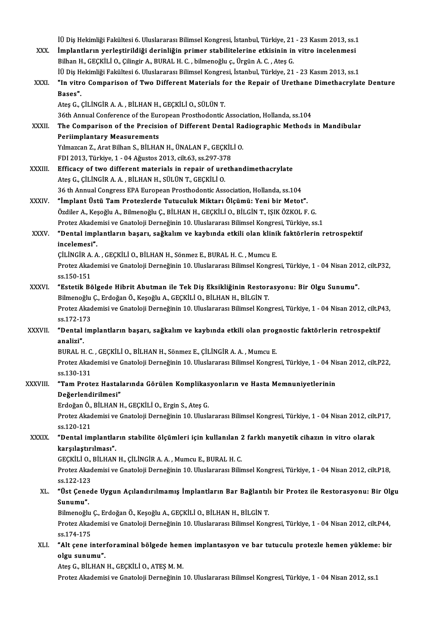İÜ Diş Hekimliği Fakültesi 6. Uluslararası Bilimsel Kongresi, İstanbul, Türkiye, 21 - 23 Kasım 2013, ss.1<br>İmplantların varlastirildiği daripliğin primar stabilitelerine etkisinin in yitre inselepmesi İÜ Diş Hekimliği Fakültesi 6. Uluslararası Bilimsel Kongresi, İstanbul, Türkiye, 21 - 23 Kasım 2013, ss.1<br>XXX. İmplantların yerleştirildiği derinliğin primer stabilitelerine etkisinin in vitro incelenmesi İÜ Diş Hekimliği Fakültesi 6. Uluslararası Bilimsel Kongresi, İstanbul, Türkiye, 21<br>**İmplantların yerleştirildiği derinliğin primer stabilitelerine etkisinin in**<br>Bilhan H., GEÇKİLİ O., Çilingir A., BURAL H. C. , bilmenoğlu İmplantların yerleştirildiği derinliğin primer stabilitelerine etkisinin in vitro incelenmesi<br>Bilhan H., GEÇKİLİ O., Çilingir A., BURAL H. C. , bilmenoğlu ç., Ürgün A. C. , Ateş G.<br>İÜ Diş Hekimliği Fakültesi 6. Uluslararas Bilhan H., GEÇKİLİ O., Çilingir A., BURAL H. C. , bilmenoğlu ç., Ürgün A. C. , Ateş G.<br>İÜ Diş Hekimliği Fakültesi 6. Uluslararası Bilimsel Kongresi, İstanbul, Türkiye, 21 - 23 Kasım 2013, ss.1<br>XXXI. "In vitro Comparison of İÜ Diş H<br>**"In vitr**<br>Bases**"**. AteşG.,ÇİLİNGİRA.A. ,BİLHANH.,GEÇKİLİO.,SÜLÜNT. 36th Annual Conference of the European Prosthodontic Association, Hollanda, ss.104 Ateş G., ÇİLİNGİR A. A. , BİLHAN H., GEÇKİLİ O., SÜLÜN T.<br>36th Annual Conference of the European Prosthodontic Association, Hollanda, ss.104<br>XXXII. The Comparison of the Precision of Different Dental Radiographic Metho Periimplantary Measurements The Comparison of the Precision of Different Dental Ra<br>Periimplantary Measurements<br>Yılmazcan Z., Arat Bilhan S., BİLHAN H., ÜNALAN F., GEÇKİLİ O.<br>EDL2012. Türkiye 1 - 04 Ağustos 2012. silt 62. ss 207.279. Yılmazcan Z., Arat Bilhan S., BİLHAN H., ÜNALAN F., GEÇKİLİ O.<br>FDI 2013, Türkiye, 1 - 04 Ağustos 2013, cilt.63, ss.297-378 XXXIII. Efficacy of two different materials in repair of urethandimethacrylate AteşG.,ÇİLİNGİRA.A. ,BİLHANH.,SÜLÜNT.,GEÇKİLİO. 36 th Annual Congress EPA European Prosthodontic Association, Hollanda, ss.104 XXXIV. "İmplant Üstü TamProtezlerde TutuculukMiktarı Ölçümü: Yeni bir Metot". 36 th Annual Congress EPA European Prosthodontic Association, Hollanda, ss.104<br>**"İmplant Üstü Tam Protezlerde Tutuculuk Miktarı Ölçümü: Yeni bir Metot".**<br>Özdiler A., Keşoğlu A., Bilmenoğlu Ç., BİLHAN H., GEÇKİLİ O., BİLGİN "İmplant Üstü Tam Protezlerde Tutuculuk Miktarı Ölçümü: Yeni bir Metot".<br>Özdiler A., Keşoğlu A., Bilmenoğlu Ç., BİLHAN H., GEÇKİLİ O., BİLGİN T., IŞIK ÖZKOL F. G.<br>Protez Akademisi ve Gnatoloji Derneğinin 10. Uluslararası B Özdiler A., Keşoğlu A., Bilmenoğlu Ç., BİLHAN H., GEÇKİLİ O., BİLGİN T., IŞIK ÖZKOL F. G.<br>Protez Akademisi ve Gnatoloji Derneğinin 10. Uluslararası Bilimsel Kongresi, Türkiye, ss.1<br>XXXV. "Dental implantların başarı, sa Protez Akade:<br>"Dental impl<br>incelemesi".<br>Cit iNCiP A.A "Dental implantların başarı, sağkalım ve kaybında etkili olan klini<br>incelemesi".<br>ÇİLİNGİR A. A. , GEÇKİLİ O., BİLHAN H., Sönmez E., BURAL H. C. , Mumcu E.<br>Protez Akademisi ve Casteleji Derneğinin 10 Uluslarerası Bilimcel K incelemesi".<br>ÇİLİNGİR A. A. , GEÇKİLİ O., BİLHAN H., Sönmez E., BURAL H. C. , Mumcu E.<br>Protez Akademisi ve Gnatoloji Derneğinin 10. Uluslararası Bilimsel Kongresi, Türkiye, 1 - 04 Nisan 2012, cilt.P32,<br>ss.150-151 CILINGIR A. A., GECKILI O., BILHAN H., Sönmez E., BURAL H. C., Mumcu E. Protez Akademisi ve Gnatoloji Derneğinin 10. Uluslararası Bilimsel Kongresi, Türkiye, 1 - 04 Nisan 201<br>ss.150-151<br>XXXVI. "Estetik Bölgede Hibrit Abutman ile Tek Diş Eksikliğinin Restorasyonu: Bir Olgu Sunumu". ss.150-151<br>"Estetik Bölgede Hibrit Abutman ile Tek Diş Eksikliğinin Restor<br>Bilmenoğlu Ç., Erdoğan Ö., Keşoğlu A., GEÇKİLİ O., BİLHAN H., BİLGİN T.<br>Pretez Akademisi ve Casteleji Derneğinin 10, Uluslararası Bilimsel Kene Protez Akademisi ve Gnatoloji Derneğinin 10. Uluslararası Bilimsel Kongresi, Türkiye, 1 - 04 Nisan 2012, cilt.P43,<br>ss.172-173 Bilmenoğlu Ç., Erdoğan Ö., Keşoğlu A., GEÇKİLİ O., BİLHAN H., BİLGİN T. Protez Akademisi ve Gnatoloji Derneğinin 10. Uluslararası Bilimsel Kongresi, Türkiye, 1 - 04 Nisan 2012, cilt.P<br>ss.172-173<br>XXXVII. "Dental implantların başarı, sağkalım ve kaybında etkili olan prognostic faktörlerin retros ss 172-17<br>**"Dental<br>analizi".**<br>PUPAL H "Dental implantların başarı, sağkalım ve kaybında etkili olan prog<br>analizi".<br>BURAL H. C. , GEÇKİLİ O., BİLHAN H., Sönmez E., ÇİLİNGİR A. A. , Mumcu E.<br>Protez Alıademisi ve Cratoleji Derneğinin 10 Uluslarenesi Bilimsel Keng analizi".<br>BURAL H. C. , GEÇKİLİ O., BİLHAN H., Sönmez E., ÇİLİNGİR A. A. , Mumcu E.<br>Protez Akademisi ve Gnatoloji Derneğinin 10. Uluslararası Bilimsel Kongresi, Türkiye, 1 - 04 Nisan 2012, cilt.P22,<br>ss.130-131 BURAL H. C.<br>Protez Akad<br>ss.130-131<br>"Tam Prat Protez Akademisi ve Gnatoloji Derneğinin 10. Uluslararası Bilimsel Kongresi, Türkiye, 1 - 04 Ni<br>ss.130-131<br>XXXVIII. "Tam Protez Hastalarında Görülen Komplikasyonların ve Hasta Memnuniyetlerinin ss.130-131<br>**"Tam Protez Hastal**<br>Değerlendirilmesi"<br><sup>Endožon Ö. Bit HAN L</sup> "Tam Protez Hastalarında Görülen Komplikas<br>Değerlendirilmesi"<br>Erdoğan Ö., BİLHAN H., GEÇKİLİ O., Ergin S., Ateş G.<br>Protez Akademisi ve Castaleji Derneğinin 10. Ulusk Değerlendirilmesi"<br>Erdoğan Ö., BİLHAN H., GEÇKİLİ O., Ergin S., Ateş G.<br>Protez Akademisi ve Gnatoloji Derneğinin 10. Uluslararası Bilimsel Kongresi, Türkiye, 1 - 04 Nisan 2012, cilt.P17,<br>ss.120-121 Erdoğan Ö.,<br>Protez Akad<br>ss.120-121<br>"Dontal im Protez Akademisi ve Gnatoloji Derneğinin 10. Uluslararası Bilimsel Kongresi, Türkiye, 1 - 04 Nisan 2012, cilt<br>ss.120-121<br>XXXIX. "Dental implantların stabilite ölçümleri için kullanılan 2 farklı manyetik cihazın in vitro ol ss.120-121<br>"Dental implantla<br>karşılaştırılması".<br>CECKİLİ O. PİLHAN "Dental implantların stabilite ölçümleri için kullanılan 2<br>karşılaştırılması".<br>GEÇKİLİ O., BİLHAN H., ÇİLİNGİR A.A., Mumcu E., BURAL H. C.<br>Protez Akademisi ve Cnataleji Derneğinin 10 Uluslararası Bilir karşılaştırılması".<br>GEÇKİLİ O., BİLHAN H., ÇİLİNGİR A. A. , Mumcu E., BURAL H. C.<br>Protez Akademisi ve Gnatoloji Derneğinin 10. Uluslararası Bilimsel Kongresi, Türkiye, 1 - 04 Nisan 2012, cilt.P18,<br>98.122.122 GEÇKİLİ O.,<br>Protez Akad<br>ss.122-123<br>"Üst Canad Protez Akademisi ve Gnatoloji Derneğinin 10. Uluslararası Bilimsel Kongresi, Türkiye, 1 - 04 Nisan 2012, cilt.P18,<br>ss.122-123<br>XL. "Üst Çenede Uygun Açılandırılmamış İmplantların Bar Bağlantılı bir Protez ile Restorasyonu: ss 122-123<br>**"Üst Çene<br>Sunumu".**<br><sup>Bilmonoğlu</sub></sup> "Üst Çenede Uygun Açılandırılmamış İmplantların Bar Bağlantıl<br>Sunumu".<br>Bilmenoğlu Ç., Erdoğan Ö., Keşoğlu A., GEÇKİLİ O., BİLHAN H., BİLGİN T.<br>Protez Alademisi ve Casteleji Derneğinin 10 Uluslararası Bilimsel Kene Sunumu".<br>Bilmenoğlu Ç., Erdoğan Ö., Keşoğlu A., GEÇKİLİ O., BİLHAN H., BİLGİN T.<br>Protez Akademisi ve Gnatoloji Derneğinin 10. Uluslararası Bilimsel Kongresi, Türkiye, 1 - 04 Nisan 2012, cilt.P44,<br>ss.174-175 Bilmenoğlu Ç., Erdoğan Ö., Keşoğlu A., GEÇKİLİ O., BİLHAN H., BİLGİN T. Protez Akademisi ve Gnatoloji Derneğinin 10. Uluslararası Bilimsel Kongresi, Türkiye, 1 - 04 Nisan 2012, cilt.<br>1944, ss.174-175<br>XLI. "Alt çene interforaminal bölgede hemen implantasyon ve bar tutuculu protezle hemen yüklem ss.174-175<br>"Alt çene inter<br>olgu sunumu".<br>Ates C. Bit HAN "Alt çene interforaminal bölgede hem<br>olgu sunumu".<br>Ateş G., BİLHAN H., GEÇKİLİ O., ATEŞ M. M.<br>Protez Akademisi ve Cnataleji Devneğinin i **olgu sunumu".**<br>Ateş G., BİLHAN H., GEÇKİLİ O., ATEŞ M. M.<br>Protez Akademisi ve Gnatoloji Derneğinin 10. Uluslararası Bilimsel Kongresi, Türkiye, 1 - 04 Nisan 2012, ss.1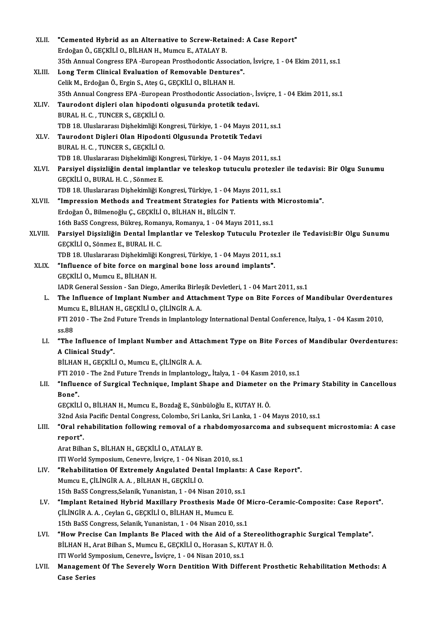| XLII.   | "Cemented Hybrid as an Alternative to Screw-Retained: A Case Report"                                         |
|---------|--------------------------------------------------------------------------------------------------------------|
|         | Erdoğan Ö., GEÇKİLİ O., BİLHAN H., Mumcu E., ATALAY B.                                                       |
|         | 35th Annual Congress EPA -European Prosthodontic Association, İsviçre, 1 - 04 Ekim 2011, ss.1                |
| XLIII.  | Long Term Clinical Evaluation of Removable Dentures".                                                        |
|         | Celik M., Erdoğan Ö., Ergin S., Ateş G., GEÇKİLİ O., BİLHAN H.                                               |
|         | 35th Annual Congress EPA -European Prosthodontic Association-, İsviçre, 1 - 04 Ekim 2011, ss.1               |
| XLIV.   | Taurodont dişleri olan hipodonti olgusunda protetik tedavi.                                                  |
|         | BURAL H. C., TUNCER S., GEÇKİLİ O.                                                                           |
|         | TDB 18. Uluslararası Dişhekimliği Kongresi, Türkiye, 1 - 04 Mayıs 2011, ss.1                                 |
| XLV.    | Taurodont Dişleri Olan Hipodonti Olgusunda Protetik Tedavi                                                   |
|         | BURAL H. C., TUNCER S., GECKILI O.                                                                           |
|         | TDB 18. Uluslararası Dişhekimliği Kongresi, Türkiye, 1 - 04 Mayıs 2011, ss.1                                 |
| XLVI.   | Parsiyel dişsizliğin dental implantlar ve teleskop tutuculu protezler ile tedavisi: Bir Olgu Sunumu          |
|         | GEÇKİLİ O., BURAL H. C., Sönmez E.                                                                           |
|         | TDB 18. Uluslararası Dişhekimliği Kongresi, Türkiye, 1 - 04 Mayıs 2011, ss.1                                 |
| XLVII.  | "Impression Methods and Treatment Strategies for Patients with Microstomia".                                 |
|         | Erdoğan Ö., Bilmenoğlu Ç., GEÇKİLİ O., BİLHAN H., BİLGİN T.                                                  |
|         | 16th BaSS Congress, Bükreş, Romanya, Romanya, 1 - 04 Mayıs 2011, ss.1                                        |
| XLVIII. | Parsiyel Dişsizliğin Dental İmplantlar ve Teleskop Tutuculu Protezler ile Tedavisi:Bir Olgu Sunumu           |
|         | GEÇKİLİ O., Sönmez E., BURAL H. C.                                                                           |
|         | TDB 18. Uluslararası Dişhekimliği Kongresi, Türkiye, 1 - 04 Mayıs 2011, ss.1                                 |
| XLIX.   | "Influence of bite force on marginal bone loss around implants".                                             |
|         | GEÇKİLİ O., Mumcu E., BİLHAN H.                                                                              |
|         | IADR General Session - San Diego, Amerika Birleşik Devletleri, 1 - 04 Mart 2011, ss.1                        |
| L.      | The Influence of Implant Number and Attachment Type on Bite Forces of Mandibular Overdentures                |
|         | Mumcu E., BİLHAN H., GEÇKİLİ O., ÇİLİNGİR A. A.                                                              |
|         | FTI 2010 - The 2nd Future Trends in Implantology International Dental Conference, İtalya, 1 - 04 Kasım 2010, |
|         | ss 88                                                                                                        |
| LI.     | "The Influence of Implant Number and Attachment Type on Bite Forces of Mandibular Overdentures:              |
|         | A Clinical Study"                                                                                            |
|         | BİLHAN H., GEÇKİLİ O., Mumcu E., ÇİLİNGİR A. A.                                                              |
|         | FTI 2010 - The 2nd Future Trends in Implantology,, İtalya, 1 - 04 Kasım 2010, ss.1                           |
| LII.    | "Influence of Surgical Technique, Implant Shape and Diameter on the Primary Stability in Cancellous          |
|         | Bone".                                                                                                       |
|         | GEÇKİLİ O., BİLHAN H., Mumcu E., Bozdağ E., Sünbüloğlu E., KUTAY H. Ö.                                       |
|         | 32nd Asia Pacific Dental Congress, Colombo, Sri Lanka, Sri Lanka, 1 - 04 Mayıs 2010, ss.1                    |
| LIII.   | "Oral rehabilitation following removal of a rhabdomyosarcoma and subsequent microstomia: A case              |
|         | report".                                                                                                     |
|         | Arat Bilhan S., BİLHAN H., GEÇKİLİ O., ATALAY B.                                                             |
|         | ITI World Symposium, Cenevre, İsviçre, 1 - 04 Nisan 2010, ss.1                                               |
| LIV.    | "Rehabilitation Of Extremely Angulated Dental Implants: A Case Report".                                      |
|         | Mumcu E., ÇİLİNGİR A. A., BİLHAN H., GEÇKİLİ O.                                                              |
|         | 15th BaSS Congress, Selanik, Yunanistan, 1 - 04 Nisan 2010, ss 1                                             |
| LV.     | "Implant Retained Hybrid Maxillary Prosthesis Made Of Micro-Ceramic-Composite: Case Report".                 |
|         | ÇİLİNGİR A. A., Ceylan G., GEÇKİLİ O., BİLHAN H., Mumcu E.                                                   |
|         | 15th BaSS Congress, Selanik, Yunanistan, 1 - 04 Nisan 2010, ss.1                                             |
| LVI.    | "How Precise Can Implants Be Placed with the Aid of a Stereolithographic Surgical Template".                 |
|         | BİLHAN H., Arat Bilhan S., Mumcu E., GEÇKİLİ O., Horasan S., KUTAY H. Ö.                                     |
|         | ITI World Symposium, Cenevre,, İsviçre, 1 - 04 Nisan 2010, ss.1                                              |
| LVII.   | Management Of The Severely Worn Dentition With Different Prosthetic Rehabilitation Methods: A                |
|         | <b>Case Series</b>                                                                                           |
|         |                                                                                                              |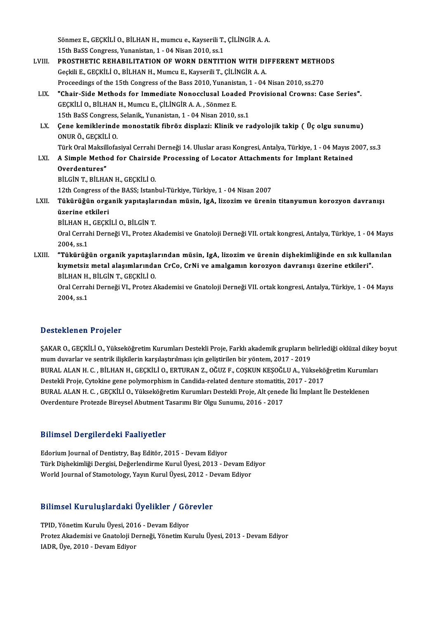Sönmez E., GEÇKİLİ O., BİLHAN H., mumcu e., Kayserili T., ÇİLİNGİR A. A.<br>15th BaSS Congress, Yunonistan 1 - 04 Nisan 2010-se 1 Sönmez E., GEÇKİLİ O., BİLHAN H., mumcu e., Kayserili T.,<br>15th BaSS Congress, Yunanistan, 1 - 04 Nisan 2010, ss.1<br>PROSTUETIC REHABILITATION OE WORN DENTITI Sönmez E., GEÇKİLİ O., BİLHAN H., mumcu e., Kayserili T., ÇİLİNGİR A. A.<br>15th BaSS Congress, Yunanistan, 1 - 04 Nisan 2010, ss.1<br>LVIII. PROSTHETIC REHABILITATION OF WORN DENTITION WITH DIFFERENT METHODS 15th BaSS Congress, Yunanistan, 1 - 04 Nisan 2010, ss.1<br>PROSTHETIC REHABILITATION OF WORN DENTITION WITH DI<br>Geçkili E., GEÇKİLİ O., BİLHAN H., Mumcu E., Kayserili T., ÇİLİNGİR A. A.<br>Proseedings of the 15th Congress of the PROSTHETIC REHABILITATION OF WORN DENTITION WITH DIFFERENT METHO<br>Geçkili E., GEÇKİLİ O., BİLHAN H., Mumcu E., Kayserili T., ÇİLİNGİR A. A.<br>Proceedings of the 15th Congress of the Bass 2010, Yunanistan, 1 - 04 Nisan 2010, s Geçkili E., GEÇKİLİ O., BİLHAN H., Mumcu E., Kayserili T., ÇİLİNGİR A. A.<br>Proceedings of the 15th Congress of the Bass 2010, Yunanistan, 1 - 04 Nisan 2010, ss.270<br>LIX. Phair-Side Methods for Immediate Nonocclusal Loaded Pr Proceedings of the 15th Congress of the Bass 2010, Yunanistan, 1 - 04 Nisan 2010, ss.270<br>"Chair-Side Methods for Immediate Nonocclusal Loaded Provisional Crowns: Ca<br>GEÇKİLİ O., BİLHAN H., Mumcu E., ÇİLİNGİR A.A., Sönmez E. "Chair-Side Methods for Immediate Nonocclusal Loaded F<br>GEÇKİLİ O., BİLHAN H., Mumcu E., ÇİLİNGİR A. A. , Sönmez E.<br>15th BaSS Congress, Selanik,, Yunanistan, 1 - 04 Nisan 2010, ss.1<br>Cana kamiklarında manastatik fibröz displ GEÇKİLİ O., BİLHAN H., Mumcu E., ÇİLİNGİR A. A. , Sönmez E.<br>15th BaSS Congress, Selanik,, Yunanistan, 1 - 04 Nisan 2010, ss.1<br>LX. Çene kemiklerinde monostatik fibröz displazi: Klinik ve radyolojik takip ( Üç olgu sunum 15th BaSS Congress,<br>Çene kemiklerinde<br>ONUR Ö., GEÇKİLİ O.<br>Türk Oral Maksillafa Çene kemiklerinde monostatik fibröz displazi: Klinik ve radyolojik takip ( Üç olgu sunumu)<br>ONUR Ö., GEÇKİLİ O.<br>Türk Oral Maksillofasiyal Cerrahi Derneği 14. Uluslar arası Kongresi, Antalya, Türkiye, 1 - 04 Mayıs 2007, ss.3 ONUR Ö., GEÇKİLİ O.<br>Türk Oral Maksillofasiyal Cerrahi Derneği 14. Uluslar arası Kongresi, Antalya, Türkiye, 1 - 04 Mayıs 2<br>LXI. A Simple Method for Chairside Processing of Locator Attachments for Implant Retained<br>Overd Türk Oral Maksil<mark>)</mark><br>A Simple Metho<br>Overdentures"<br>P<sup>il Cin</sup> T. P<sup>il UA</sup> BİLGİN T, BİLHAN H., GEÇKİLİ O. Overdentures"<br>BİLGİN T., BİLHAN H., GEÇKİLİ O.<br>12th Congress of the BASS; Istanbul-Türkiye, Türkiye, 1 - 04 Nisan 2007<br>Türkinüğün organik yapıtaslarından müsin, IsA, lizesim ve üneni: BİLGİN T., BİLHAN H., GEÇKİLİ O.<br>12th Congress of the BASS; Istanbul-Türkiye, Türkiye, 1 - 04 Nisan 2007<br>LXII. Tükürüğün organik yapıtaşlarından müsin, IgA, lizozim ve ürenin titanyumun korozyon davranışı 12th Congress of<br>**Tükürüğün orga**<br>üzerine etkileri<br>Pit HAN H. CECVİ Tükürüğün organik yapıtaşlar<br>üzerine etkileri<br>BİLHAN H., GEÇKİLİ O., BİLGİN T.<br>Oral Carrabi Darnaği VI., Bratar A üzerine etkileri<br>BİLHAN H., GEÇKİLİ O., BİLGİN T.<br>Oral Cerrahi Derneği VI., Protez Akademisi ve Gnatoloji Derneği VII. ortak kongresi, Antalya, Türkiye, 1 - 04 Mayıs BİLHAN H.<br>Oral Cerral<br>2004, ss.1<br>"Tültürüğü Oral Cerrahi Derneği VI., Protez Akademisi ve Gnatoloji Derneği VII. ortak kongresi, Antalya, Türkiye, 1 - 04 Mayıs<br>2004, ss.1<br>LXIII. "Tükürüğün organik yapıtaşlarından müsin, IgA, lizozim ve ürenin dişhekimliğinde en 2004, ss.1<br>"Tükürüğün organik yapıtaşlarından müsin, IgA, lizozim ve ürenin dişhekimliğinde en sık kulla<br>kıymetsiz metal alaşımlarından CrCo, CrNi ve amalgamın korozyon davranışı üzerine etkileri".<br>Pil HAN H. PİLCİN T. CEC "Tükürüğün organik yapıtaşla<br>kıymetsiz metal alaşımlarında<br>BİLHAN H., BİLGİN T., GEÇKİLİ O.<br>Oral Cerrabi Derneği VI., Pretez A kıymetsiz metal alaşımlarından CrCo, CrNi ve amalgamın korozyon davranışı üzerine etkileri".<br>BİLHAN H., BİLGİN T., GEÇKİLİ O.<br>Oral Cerrahi Derneği VI., Protez Akademisi ve Gnatoloji Derneği VII. ortak kongresi, Antalya, Tü BİLHAN H.<br>Oral Cerral<br>2004, ss.1

# Desteklenen Projeler

Desteklenen Projeler<br>ŞAKAR O., GEÇKİLİ O., Yükseköğretim Kurumları Destekli Proje, Farklı akademik grupların belirlediği oklüzal dikey boyut<br>mum duvarlar ve sertrik iliakilerin karalastrulması isin selistirilen bir väntem mumduvarlar ve sentrikilişkilerinin Kurumları Destekli Proje, Farklı akademik grupların belişkilerin karşılaştırılması için geliştirilen bir yöntem, 2017 - 2019<br>1918 - Mumduvarlar ve sentrik ilişkilerin karşılaştırılması i ŞAKAR O., GEÇKİLİ O., Yükseköğretim Kurumları Destekli Proje, Farklı akademik grupların belirlediği oklüzal dikey<br>mum duvarlar ve sentrik ilişkilerin karşılaştırılması için geliştirilen bir yöntem, 2017 - 2019<br>BURAL ALAN H mum duvarlar ve sentrik ilişkilerin karşılaştırılması için geliştirilen bir yöntem, 2017 - 2019<br>BURAL ALAN H. C. , BİLHAN H., GEÇKİLİ O., ERTURAN Z., OĞUZ F., COŞKUN KEŞOĞLU A., Yüksekö<br>Destekli Proje, Cytokine gene polymo BURAL ALAN H. C. , BİLHAN H., GEÇKİLİ O., ERTURAN Z., OĞUZ F., COŞKUN KEŞOĞLU A., Yükseköğretim Kurumla<br>Destekli Proje, Cytokine gene polymorphism in Candida-related denture stomatitis, 2017 - 2017<br>BURAL ALAN H. C. , GEÇKİ Destekli Proje, Cytokine gene polymorphism in Candida-related denture stomatitis, 2017 - 2017<br>BURAL ALAN H. C. , GEÇKİLİ O., Yükseköğretim Kurumları Destekli Proje, Alt çenede İki İmplant İle Desteklenen<br>Overdenture Protez

### Bilimsel Dergilerdeki Faaliyetler

Edorium Journal of Dentistry, Baş Editör, 2015 - Devam Ediyor Türk Dişhekimliği Dergisi, Değerlendirme Kurul Üyesi, 2013 - Devam Ediyor World Journal of Stamotology, Yayın Kurul Üyesi, 2012 - Devam Ediyor

# world journal of stamotology, rayın Kurul Oyesi, 2012 - D.<br>Bilimsel Kuruluşlardaki Üyelikler / Görevler

Bilimsel Kuruluşlardaki Üyelikler / Göl<br>TPID, Yönetim Kurulu Üyesi, 2016 - Devam Ediyor<br>Preter Akademisi ve Castaleji Derneği Yönetim Ku Protez Akademisi ve Gnatoloji Derneği, Yönetim Kurulu Üyesi, 2013 - Devam Ediyor<br>IADR, Üye, 2010 - Devam Ediyor TPID, Yönetim Kurulu Üyesi, 2016 - Devam Ediyor